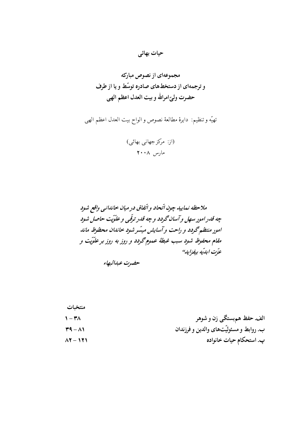# حیات بھائی

تهيّه وتنظيم: دايرهٔ مطالعهٔ نصوص والواح بيت العدل اعظم الهي

(از: مرکز جهانی بهائی) مارس ۲۰۰۸

حضرت عبدالبهاء

| الف. حفظ هم بستگي زن و شوهر             |
|-----------------------------------------|
| ب. روابط و مسئولیّتهای والدین و فرزندان |
| پ. استحکام حیات خانواده                 |
|                                         |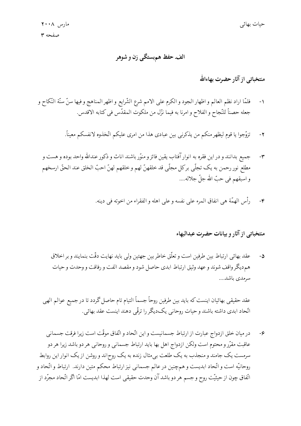# الف. حفظ هم بستگي زن و شوهر

# منتخباتی از آثار حضرت بهاءالله

- فلمَّا اراد نظم العالم و اظهار الجود و الكرم على الامم شرع الشَّرايع و اظهر المناهج و فيها سنَّ سنَّة النَّكاح و  $-1$ جعله حصناً للنَّجاح و الفلاح و امرنا به فيما نزّل من ملكوت المقدّس في كتابه الاقدس.
	- تزوَّجوا يا قوم ليظهر منكم من يذكرني بين عبادي هذا من امرى عليكم اتَّخذوه لانفسكم معيناً.  $-\gamma$
	- جميع بدانند و در اين فقره به انوار آفتاب يقين فائز و منوّر باشند اناث و ذكور عندالله واحد بوده و هست و  $-\mathbf{y}$ مطلع نور رحمن به يک تجلَّى برکل مجلَّى قد خلقهنّ لهم و خلقهم لهنّ احبّ الخلق عند الحقّ ارسخهم و اسبقهم في حبّ الله جلّ جلاله....
		- رأس الهمَّة هي انفاق المرء على نفسه و على اهله و الفقراء من اخوته في دينه.  $-\epsilon$

#### منتخباتبي از آثار و بيانات حضرت عبدالبهاء

عقد بھائی ارتباط بین طرفین است و تعلّق خاطر بین جهتین ولی باید نهایت دقّت بنمایند و بر اخلاق  $-\Delta$ هم ديگر واقف شوند و عهد وثيق ارتباط ابدي حاصل شود و مقصد الفت و رفاقت و وحدت و حيات سرمدى باشد....

عقد حقيقي بهائيان اينست كه بايد بين طرفين روحاً جسماً التيام تام حاصل گردد تا در جميع عوالم الهي اتّحاد ابدي داشته باشند و حيات روحاني يکديگر را ترقّي دهند اينست عقد بهائي.

در میان خلق ازدواج عبارت از ارتباط جسمانیست و این اتّحاد و اتّفاق موقّت است زیرا فرقت جسمانبی  $-\epsilon$ عاقبت مقرّر و محتوم است ولکن ازدواج اهل بها باید ارتباط جسمانی و روحانی هر دو باشد زیرا هر دو سرمست یک جامند و منجذب به یک طلعت بی مثال زنده به یک روح|ند و روشن از یک انوار این روابط روحانیّه است و اتّحاد ابدیست و همچنین در عالم جسمانی نیز ارتباط محکم متین دارند. ارتباط و اتّحاد و اتّفاق چون از حیثیّت روح و جسم هر دو باشد آن وحدت حقیقی است لهذا ابدیست امّا اگر اتّحاد مجرّد از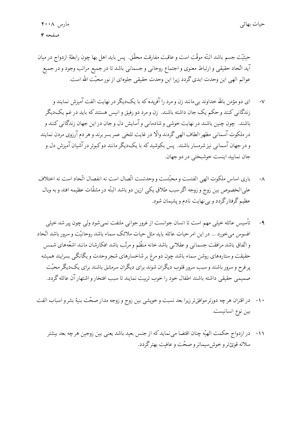حيثيَّت جسم باشد البتَّه موقَّت است و عاقبت مفارقت محقَّق. يس بايد اهل بها چون رابطهٔ ازدواج در ميان آيد اتّحاد حقيقي و ارتباط معنوي و اجتماع روحاني و جسماني باشد تا در جميع مراتب وجود و در جميع عوالم الهي اين وحدت ابدي گردد زيرا اين وحدت حقيقي جلوهاي از نور محبّت الله است.

- ای دو مؤمن بالله حداوند بی مانند زن و مرد را آفریده که با یک دیگر در نهایت الفت آمیزش نمایند و  $-\mathsf{V}$ زندگانی کنند و حکم یک جان داشته باشند. زن و مرد دو رفیق و انیس هستند که باید در غم یک دیگر باشند. چون چنین باشند در نهایت خوشی و شادمانی و آسایش دل و جان در این جهان زندگانی کنند و در ملكوت آسماني مظهر الطاف الهي گردند والّا در غايت تلخي عمر بسر برند و هر دم آرزوي مردن نمايند و در جهان آسمانی نیز شرمسار باشند. پس بکوشید که با یکدیگر مانند دوکبوتر در آشیان آمیزش دل و جان نماييد اينست خوشيختي در دو جهان.
- باری اساس ملکوت الهی الفتست و محبّتست و وحدتست اتّصال است نه انفصال اتّحاد است نه اختلاف  $-\Lambda$ علىالخصوص بين زوج و زوجه اگر سبب طلاق يكي ازين دو باشد البتّه در مشقّات عظيمه افتد و به وبال عظیم گرفتارگردد و بی نهایت نادم و پشیمان شود.
- تأسیس عائله خیلیی مهم است تا انسان جوانست از غرور جوانی ملتفت نمی شود ولی چون پیر شد خیلی  $-9$ افسوس ميخورد … در اين امر حيات عائله بايد مثل حيات ملائك سماء باشد روحانيّت و سرور باشد اتّحاد و اتّفاق باشد مرافقت جسمانبي وعقلانبي باشد خانه منظّم و مرتّب باشد افكارشان مانند اشعّههاي شمس حقیقت و ستارههای روشن سماء باشد چون دو مرغ بر شاخسارهای شجر وحدت و یگانگی بسرایند همیشه پر فرح و سرور باشند و سبب سرور قلوب دیگران شوند برای دیگران سرمشق باشند برای یکدیگر محبّت صميمي حقيقي داشته باشند اطفال خود را خوب تربيت نمايند تا سبب افتخار و اشتهار آن عائله گردد.
- ۱۰- در اقتران هرچه دورتر موافق تر زیرا بعد نسبت و خویشی بین زوج و زوجه مدار صحّت بنیهٔ بشر و اسباب الفت بين نوع انسانيست.
	- ١١- در ازدواج حكمت الهيّه چنان اقتضا مي نمايد كه از جنس بعيد باشد يعني بين زوجين هرچه بعد بيشتر سلاله قويّ ترو خوش سيماترو صحّت و عافت بهتر گردد.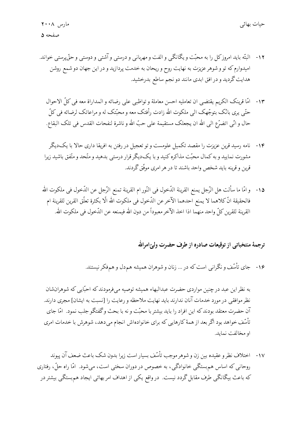- ۱۲- البتّه باید امروز کل را به محبّت و یگانگی و الفت و مهربانی و درستی و آشتی و دوستی و حقّ پرستی خواند. امیدوارم که تو و شوهر عزیزت به نهایت روح و ریحان به خدمت پردازید و در این جهان دو شمع روشن هدایت گردید و در افق ابدی مانند دو نجم ساطع بدرخشید.
	- ١٣- امَّا قرينك الكريم يقتضي ان تعامليه احسن معاملة و تواظبي على رضائه و المداراة معه في كلِّ الاحوال حتَّمي يرى بانَّک بتوجَّهک الى ملکوت الله زادت رأفتک معه و محبّتک له و مراعاتک لرضائه في کلّ حال و انّي اتضرّع الى الله ان يجعلك مستقيمة على حبّ الله و ناشرة لنفحات القدس في تلك البقاع.
	- ۱۴- نامه رسید قرین عزیزت را مقصد تکمیل علومست و تو تعجیل در رفتن به افریقا داری حالا با یکدیگر مشورت نمایید و به کمال محبّت مذاکره کنید و با یکدیگر قرار درستی بدهید و متّحد و متّفق باشید زیرا قرین و قرینه باید شخص واحد باشند تا در هر امری موفّق گردند.
	- ١٥- وامّا ما سألت هل الرّجل يمنع القرينة الدّخول في النّور ام القرينة تمنع الرّجل عن الدّخول في ملكوت الله فالحقيقة انَّ كلاهما لا يمنع احدهما الآخر عن الدَّخول في ملكوت الله الَّا بكثرة تعلَّق القرين للقرينة ام القرينة للقرين كلِّ واحد منهما اذا اخذ الآخر معبوداً من دون الله فيمنعه عن الدَّخول في ملكوت الله.

### ترجمهٔ منتخباتی از توقیعات صادره از طرف حضرت ولیّ امرالله

۱۶- جای تأسّف و نگرانی است که در … زنان و شوهران همیشه هم۵دل و همفکر نیستند.

به نظر این عبد در چنین مواردی حضرت عبدالبهاء همیشه توصیه میفرمودند که احبّایی که شوهرانشان نظر موافقی در مورد خدمات آنان ندارند باید نهایت ملاحظه و رعایت را [نسبت به ایشان] مجری دارند. آن حضرت معتقد بودندکه این افراد را باید بیشتر با محبّت و نه با بحث وگفتگو جلب نمود. امّا جای تأسّف خواهد بود اگر بعد از همهٔ کارهایی که برای خانوادهاش انجام میدهد، شوهرش با خدمات امری او مخالفت نماید.

١٧- اختلاف نظر و عقيده بين زن و شوهر موجب تأسّف بسيار است زيرا بدون شک باعث ضعف آن يبوند روحانی که اساس هم بستگی خانوادگی، به خصوص در دوران سختی است، می شود. امّا راه حلّ ، رفتاری که باعث بیگانگی طرف مقابل گردد نیست. در واقع یکی از اهداف امر بهائی ایجاد هم بستگی بیشتر در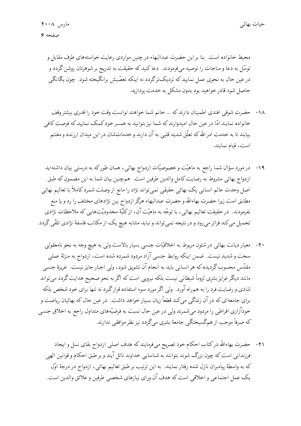محیط خانواده است. بنا بر این حضرت عبدالبهاء در چنین مواردی رعایت خواستههای طرف مقابل و توسّل به دعا و مناجات را توصیه میفوردند. دعاکنیدکه حقیقت به تدریج بر شوهرتان روشن گردد و در عین حال به نحوی عمل نمایید که نزدیکترگردد نه اینکه تعصّبش برانگیخته شود. چون یگانگی حاصل شود قادر خواهید بود بدون مشکل به خدمت پردازید.

- ۱۸- حضرت شوقی افندی اطمینان دارندکه ... خانم شما خواهند توانست وقت خود را قدری بیشتر وقف خانواده نمایند امّا در عین حال امیدوارند که شما نیز بتوانید به همسر خود کمک نمایید که فرصت کافی بیابند تا به خدمت امر الله که تعلُّق شدید قلبی به آن دارند و خدماتشان در این میدان ارزنده و مغتنم است، قيام نمايند.
- ۱۹- در مورد سؤال شما راجع به ماهیّت و خصوصیّات ازدواج بهائی، همان طورکه به درستی بیان داشتهاید ازدواج بهائي مشروط به رضايت كامل والدين طرفين است. همچنين بيان شما به اين مضمون كه طبق اصل وحدت عالم انساني يک بهائي حقيقي نمي تواند نژاد را مانع از وصلت شمرد کاملاً با تعاليم بهائي مطابق است زیرا حضرت بهاءالله و حضرت عبدالبهاء هرگز ازدواج بین نژادهای مختلف را رد و یا منع نفرمودند. در حقیقت تعالیم بهائیی، با توجّه به ماهیّت آن، ازکلّیّهٔ محدودیّتهایی که ملاحظات نژادی تحمیل میکند فراتر می رود و در نتیجه نمی تواند و نباید مشابه هیچ یک از مکاتب فلسفهٔ نژادی تلقّی گردد.
- ۲۰- معیار دیانت بهائی در شئون مربوط به اخلاقیّات جنسی بسیار بالاست ولی به هیچ وجه به نحو نامعقولی سخت و شدید نیست. ضمن اینکه روابط جنسی آزاد مردود شمرده شده است، ازدواج به منزلهٔ عملی مقدّس محسوب گردیده که هر انسانی باید به انجام آن تشویق شود، ولی اجبار جایز نیست. غریزهٔ جنسی مانند دیگر غرایز بشری لزوماً شیطانی نیست بلکه نیرویی است که اگر به نحو صحیح هدایت گردد می تواند شادی و رضایت فرد را به همراه آورد. ولی اگر مورد سوء استفاده قرارگیرد نه تنها برای خود شخص بلکه برای جامعهای که در آن زندگی میکند قطعاً زیان بسیار خواهد داشت. در عین حال که بهائیان ریاضت و خودآزاری افراطی را مردود میشمرند ولی در عین حال نسبت به فرضیّههای متداول راجع به اخلاق جنسی که صرفاً موجب از همگسیختگی جامعهٔ بشری میگردد نیز نظر موافقی ندارند.
	- ۲۱- حضرت بهاءالله درکتاب احکام خود تصریح میفومایندکه هدف اصلی ازدواج بقای نسل و ایجاد فرزندانی است که چون بزرگ شوند بتوانند به شناسایی خداوند نائل آیند و بر طبق احکام و قوانین الهی كه به واسطهٔ پیامبران نازل شده رفتار نمایند. به این ترتیب بر طبق تعالیم بهائی، ازدواج در درجهٔ اوّل يک عمل اجتماعي و اخلاقي است که هدف آن وراي نيازهاي شخصي طرفين و علائق والدين است.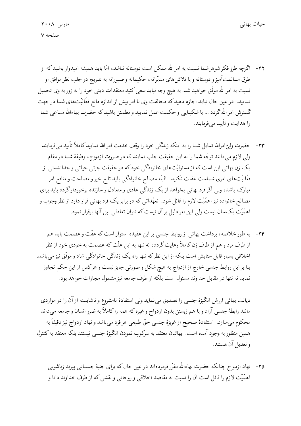- ۲۲- اگرچه طرز فکر شوهر شما نسبت به امر الله ممکن است دوستانه نباشد، امّا باید همیشه امیدوار باشید که از طرق مسالمتآمیز و دوستانه و با تلاش های مدبّرانه، حکیمانه و صبورانه به تدریج در جلب نظر موافق او نسبت به امر الله موفَّق خواهید شد. به هیچ وجه نباید سعی کنید معتقدات دینی خود را به زور به وی تحمیل نمایید. در عین حال نباید اجازه دهیدکه مخالفت وی با امربیش از اندازه مانع فعّالیّتهای شما در جهت گسترش امر الله گردد … با شکیبایی و حکمت عمل نمایید و مطمئن باشید که حضرت بهاءالله مساعی شما را هدایت و تأیید می فرمایند.
- ٢٣- حضرت وليِّ امرالله تمايل شما را به اينكه زندگي خود را وقِف خدمت امر الله نماييد كاملاً تأييد مي فرمايند ولي لازم ميدانند توجّه شما را به اين حقيقت جلب نمايندكه در صورت ازدواج، وظيفة شما در مقام یک زن بهائی این است که از مسئولیّتهای خانوادگی خود که در حقیقت جزئی حیاتی و جدانشدنی از فعَّاليَّتهاى امرى شماست غفلت نكنيد. البتَّه مصالح خانوادگىي بايد تابع خيرو مصلحت و منافع امر مبارک باشد، ولی اگر فرد بهائی بخواهد از یک زندگی عادی و متعادل و سازنده برخوردارگردد باید برای مصالح خانواده نیز اهمّیّت لازم را قائل شود. تعهّداتی که در برابر یک فرد بهائی قرار دارد از نظر وجوب و اهمَّيَّت يكسان نيست ولي اين امر دليل برآن نيست كه نتوان تعادلي بين آنها برقرار نمود.
- ۲۴- به طور خلاصه، برداشت بهائی از روابط جنسی بر این عقیده استوار است که عفّت و عصمت باید هم از طرف مرد و هم از طرف زن کاملاً رعایت گردد، نه تنها به این علّت که عصمت به خودی خود از نظر اخلاقی بسیار قابل ستایش است بلکه از این نظرکه تنها راه یک زندگی خانوادگی شاد و موفّق نیز می باشد. بنا بر این روابط جنسی خارج از ازدواج به هیچ شکل و صورتی جایز نیست و هرکس از این حکم تجاوز نماید نه تنها در مقابل خداوند مسئول است بلکه از طرف جامعه نیز مشمول مجازات خواهد بود.

دیانت بهائی ارزش انگیزهٔ جنسی را تصدیق می نماید ولی استفادهٔ نامشروع و ناشایسته از آن را در مواردی مانند رابطهٔ جنسی آزاد و با هم زیستن بدون ازدواج و غیره که همه راکاملاً به ضرر انسان و جامعه می داند محكوم ميسازد. استفادهٔ صحيح از غريزهٔ جنسي حقٌّ طبيعي هر فرد مي باشد و نهاد ازدواج نيز دقيقاً به همین منظور به وجود آمده است. بهائیان معتقد به سرکوب نمودن انگیزهٔ جنسی نیستند بلکه معتقد به کنترل و تعديل آن هستند.

۲۵- نهاد ازدواج چنانکه حضرت بهاءالله مقرّر فرمودهاند در عین حال که برای جنبهٔ جسمانی پیوند زناشویی اهمَّيَّت لازم را قائل است آن را نسبت به مقاصد اخلاقی و روحانی و نقشی که از طرف خداوند دانا و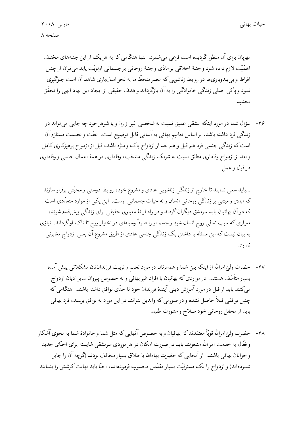مهربان برای آن منظور گردیده است فرعی می شمرد. تنها هنگامی که به هر یک از این جنبههای مختلف اهمَّيَّت لازم داده شود و جنبهٔ اخلاقي بر مادِّي و جنبهٔ روحاني بر جسماني اولويَّت يابد مي توان از چنين افراط و بی بندوباریها در روابط زناشویی که عصر منحطّ ما به نحو اسفباری شاهد آن است جلوگیری نمود و پاکي اصلي زندگي خانوادگي را به آن بازگرداند و هدف حقيقي از ايجاد اين نهاد الهي را تحقّق بخشبد.

۲۶- سؤال شما در مورد اينكه عشقى عميق نسبت به شخصى غير از زن و يا شوهر خود چه جايبي مي تواند در زندگی فرد داشته باشد، بر اساس تعالیم بهائی به آسانی قابل توضیح است. عفّت و عصمت مستلزم آن است که زندگی جنسی فرد هم قبل و هم بعد از ازدواج پاک و منزّه باشد، قبل از ازدواج پرهیزکاری کامل و بعد از ازدواج وفاداري مطلق نسبت به شريک زندگي منتخب، وفاداري در همهٔ اعمال جنسي و وفاداري در قول و عمل….

...باید سعی نمایند تا خارج از زندگی زناشویی عادی و مشروع خود، روابط دوستی و محبّتی برقرار سازند که ابدی و مبتنی بر زندگی روحانی انسان و نه حیات جسمانی اوست. این یکی از موارد متعدّدی است که در آن بهائیان باید سرمشق دیگران گردند و در راه ارائهٔ معیاری حقیقی برای زندگی پیش قدم شوند، معیاری که سبب تعالی روح انسان شود و جسم او را صرفاً وسیلهای در اختیار روح تابناک اوگرداند. نیازی به بیان نیست که این مسئله با داشتن یک زندگی جنسی عادی از طریق مشروع آن یعنی ازدواج مغایرتی ندارد.

- ۲۷- حضرت ولیِّ امرالله از اینکه بین شما و همسرتان در مورد تعلیم و تربیت فرزندانتان مشکلاتی پیش آمده بسیار متأسّف هستند. در مواردی که بهائیان با افراد غیر بهائی و به خصوص پیروان سایر ادیان ازدواج میکنند باید از قبل در مورد آموزش دینی آیندهٔ فرزندان خود تا حدّی توافق داشته باشند. هنگامی که چنین توافقی قبلاً حاصل نشده و در صورتی که والدین نتوانند در این مورد به توافق برسند، فرد بهائی بايد از محفل روحاني خود صلاح و مشورت طلبد.
- ٢٨- حضرت وليِّ امرالله قويًّا معتقدند كه بهائيان و به خصوص آنهايي كه مثل شما و خانوادهٔ شما به نحوي آشكار و فعّال به خدمت امر الله مشغولند باید در صورت امکان در هر موردی سرمشقی شایسته برای احبّای جدید و جوانان بهائی باشند. از آنجایی که حضرت بهاءالله با طلاق بسیار مخالف بودند (گرچه آن را جایز شمردهاند) و ازدواج را یک مسئولیّت بسیار مقدّس محسوب فرمودهاند، احبّا باید نهایت کوشش را بنمایند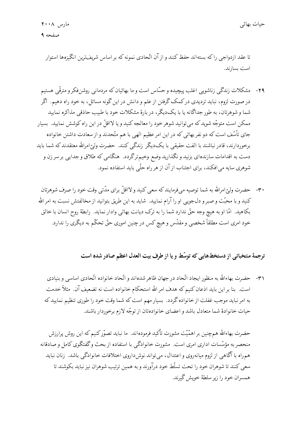تا عقد ازدواجی را که بستهاند حفظ کنند و از آن اتّحادی نمونه که بر اساس شریفترین انگیزهها استوار است بسازند.

- ۲۹- مشکلات زندگی زناشویی اغلب پیچیده و حسّاس است و ما بهائیان که مردمانی روشنفکر و مترقّی هستیم در صورت لزوم، نباید تردیدی درکمک گرفتن از علم و دانش در این گونه مسائل، به خود راه دهیم. آگر شما و شوهرتان، به طور جداگانه یا با یکدیگر، در بارهٔ مشکلات خود با طبیب حاذقی مذاکره نمایید ممکن است متوجّه شویدکه میتوانید شوهر خود را معالجه کنید و یا لااقلّ در این راه کوشش نمایید. بسیار جای تأسّف است که دو نفر بهائی که در این امر عظیم الهی با هم متّحدند و از سعادت داشتن خانواده برخوردارند، قادر نباشند با الفت حقیقی با یکدیگر زندگی کنند. حضرت ولیّ امرالله معتقدند که شما باید دست به اقدامات سازندهاي بزنيد و نگذاريد وضع وخيمترگردد. هنگامي كه طلاق و جدايي بر سر زن و شوهري سايه مي افكند، براي اجتناب از آن از هر راه حلَّمي بايد استفاده نمود.
- ۳۰ حضرت ولیّ امرالله به شما توصیه میفومایند که سعی کنید و لااقلّ برای مدّتی وقت خود را صرف شوهرتان کنید و با محبّت و صبر و دل جویبی او را آرام نمایید. شاید به این طریق بتوانید از مخالفتش نسبت به امر الله بكاهيد. امّا او به هيچ وجه حقّ ندارد شما را به ترك ديانت بهائي وادار نمايد. رابطهٔ روح انسان با خالق خود امری است مطلقاً شخصی و مقدّس و هیچ کس در چنین اموری حقّ تحکّم به دیگری را ندارد.

### ترجمهٔ منتخباتی از دستخطهایی که توسّط و یا از طرف بیت العدل اعظم صادر شده است

٣١- حضرت بهاءالله به منظور ايجاد اتّحاد درجهان ظاهرشدهاند و اتّحاد خانواده اتّحادى اساسى و بنيادى است. بنا بر این باید اذعان کنیم که هدف امر الله استحکام خانواده است نه تضعیف آن. مثلاً خدمت به امر نباید موجب غفلت از خانواده گردد. بسیار مهم است که شما وقت خود را طوری تنظیم نمایید که حيات خانوادهٔ شما متعادل باشد و اعضاي خانوادهتان از توجّه لازم برخوردار باشند.

حضرت بهاءالله همچنین بر اهمّیّت مشورت تأکید فرمودهاند. ما نباید تصوّرکنیم که این روش پرارزش منحصر به مؤسَّسات اداری امری است. مشورت خانوادگی با استفاده از بحث وگفتگوی کامل و صادقانه همهراه با آگاهی از لزوم میانهروی و اعتدال، میتواند نوش۱روی اختلافات خانوادگی باشد. زنان نباید سعی کنند تا شوهران خود را تحت تسلُّط خود درآورند و به همین ترتیب شوهران نیز نباید بکوشند تا همسران خود را زير سلطهٔ خويش گيرند.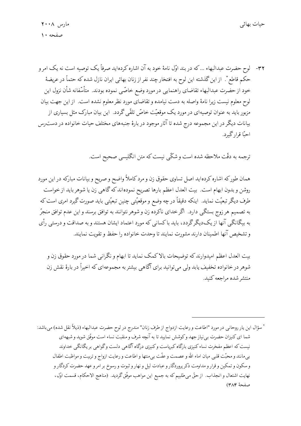٣٢- لوح حضرت عبدالبهاء …كه در بند اوّل نامهٔ خود به آن اشاره كردهايد صرفاً يک توصيه است نه يک امر و حکم قاطع ٌ. از این گذشته این لوح به افتخار چند نفر از زنان بهائی ایران نازل شده که حتماً در عریضهٔ خود از حضرت عبدالبهاء تقاضاي راهنمايي در مورد وضع خاصّي نموده بودند. متأسّفانه شأن نزول اين لوح معلوم نیست زیرا نامهٔ واصله به دست نیامده و تقاضای مورد نظر معلوم نشده است. از این جهت بیان مزبور باید به عنوان توصیهای در مورد یک موقعیّت خاصّ تلقّی گردد. این بیان مبارک مثل بسیاری از بیانات دیگر در این مجموعه درج شده تا آثار موجود در بارهٔ جنبههای مختلف حیات خانواده در دست رس احبًّا قرار گيرد.

ترجمه به دقّت ملاحظه شده است و شکّی نیست که متن انگلیسی صحیح است.

همان طورکه اشاره کردهاید اصل تساوی حقوق زن و مرد کاملاً واضح و صریح و بیانات مبارکه در این مورد روشن و بدون ابهام است. بیت العدل اعظم بارها تصریح نمودهاند که گاهی زن یا شوهر باید از خواست طرف دیگر تبعیّت نماید. اینکه دقیقاً در چه وضع و موقعیّتی چنین تبعیّتی باید صورت گیرد امری است که به تصمیم هر زوج بستگی دارد. اگر خدای ناکرده زن و شوهر نتوانند به توافق برسند و این عدم توافق منجرّ به بیگانگی آنها از یکدیگرگردد، باید باکسانی که مورد اعتماد ایشان هستند و به صداقت و درستی رأی وتشخيص آنها اطمينان دارند مشورت نمايند تا وحدت خانواده را حفظ و تقويت نمايند.

بیت العدل اعظم امیدوارند که توضیحات بالاکمک نماید تا ابهام و نگرانی شما در مورد حقوق زن و شوهر در خانواده تخفیف یابد ولی می توانید برای آگاهی بیشتر به مجموعهای که اخیراً در بارهٔ نقش زن منتشر شده مراجعه كنيد.

\* سؤال اين يار روحاني در مورد "اطاعت و رعايت ازدواج از طرف زنان" مندرج در لوح حضرت عبدالبهاء (ذيلاً نقل شده) ميباشد: شما اي كنيزان حضرت بي نياز جهد وكوشش نماييد تا به آنچه شرف و منقبت نساء است موفّق شويد و شبههاي نیست که اعظم مفخرت نساء کنیزی بارگاه کبرپاست وکنیزی درگاه آگاهی دلست وگواهی بر یگانگی خداوند بييمانند و محبّت قلبي ميان اماء الله و عصمت و عفّت بي منتها و اطاعت و رعايت ازواج و تربيت و مواظبت اطفال و سکون و تمکین و قرار و مداومت ذکر پروردگار و عبادت لیل و نهار و ثبوت و رسوخ بر امر و عهد حضرت کردگار و نهايت اشتعال و انجذاب. از حقٌّ مىطلبيم كه به جميع اين مواهب موفَّق گرديد. (مناهج الاحكام، قسمت اوّل، صفحة ٣٨٤)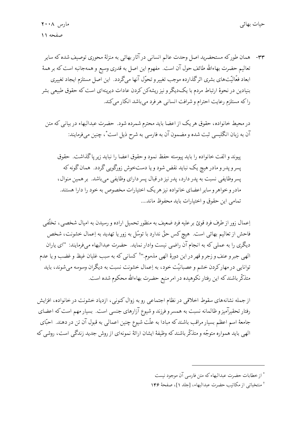٣٣- همان طوركه مستحضريد اصل وحدت عالم انساني درآثار بهائي به منزلة محوري توصيف شده كه ساير تعاليم حضرت بهاءالله طائف حول آن است. مفهوم اين اصل به قدري وسيع و همهجانبه است كه بر همهٔ ابعاد فعّالیّتهای بشری اثرگذارده موجب تغییر و تحوّل آنها میگردد. این اصل مستلزم ایجاد تغییری بنیادین در نحوهٔ ارتباط مردم با یکدیگر و نیز ریشهکن کردن عادات دیرینهای است که حقوق طبیعی بشر راكه مستلزم رعايت احترام و شرافت انساني هر فرد مي باشد انكار ميكند.

در محیط خانواده، حقوق هر یک از اعضا باید محترم شمرده شود. حضرت عبدالبهاء در بیانبی که متن آن به زبان انگلیسی ثبت شده و مضمون آن به فارسی به شرح ذیل است ٌ ، چنین می فرمایند:

يبوند و الفت خانواده را بايد پيوسته حفظ نمود و حقوق اعضا را نبايد زير ياگذاشت. حقوق پسروپدرو مادر هیچ یک نباید نقض شود و یا دستخوش زورگویی گردد. همان گونه که پسروظایفی نسبت به پدر دارد، پدر نیز در قبال پسر دارای وظایفی می باشد. بر همین منوال، مادر وخواهر و سایر اعضای خانواده نیز هر یک اختیارات مخصوص به خود را دارا هستند. تمامي اين حقوق و اختيارات بايد محفوظ ماند....

اِعمال زور از طرف فرد قویّ بر علیه فرد ضعیف به منظور تحمیل اراده و رسیدن به امیال شخصی، تخلّفی فاحش از تعالیم بهائی است. هیچ کس حقّ ندارد با توسّل به زور یا تهدید به اِعمال خشونت، شخص ديگري را به عملي كه به انجام آن راضي نيست وادار نمايد. حضرت عبدالبهاء مي فرمايند: "اي ياران الهي جبر و عنف و زجر و قهر در اين دورهٔ الهي مذموم.''أ كساني كه به سبب غليان غيظ و غضب و يا عدم توانایی در مهارکردن خشم و عصبانیّت خود، به اِعمال خشونت نسبت به دیگران وسوسه میشوند، باید متذکّر باشند که این رفتار نکوهیده در امر منیع حضرت بهاءالله محکوم شده است.

از جمله نشانههای سقوط اخلاقی در نظام اجتماعی رو به زوال کنونی، ازدیاد خشونت در خانواده، افزایش رفتار تحقیرآمیز و ظالمانه نسبت به همسر و فرزند و شیوع آزارهای جنسی است. بسیار مهم است که اعضای جامعهٔ اسم اعظم بسیار مراقب باشند که مبادا به علّت شیوع چنین اعمالی به قبول آن تن در دهند. احبّای الهي بايد همواره متوجّه و متذكّر باشند كه وظيفهٔ ايشان ارائهٔ نمونهاي از روش جديد زندگي است، روشي كه

<sup>\*</sup> از خطابات حضرت عبدالبهاء كه متن فارسي آن موجود نيست

أ منتخباتي از مكاتيب حضرت عبدالبهاء، [جلد ١]، صفحة ١۴۶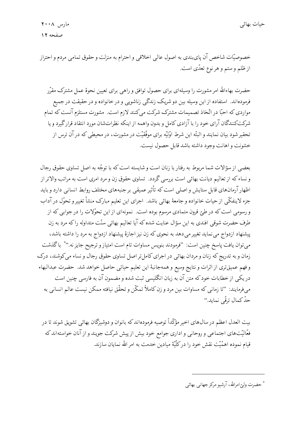خصوصیّات شاخص آن پایبندی به اصول عالمی اخلاقی و احترام به منزلت و حقوق تمامی مردم و احتراز از ظلم وستم و هر نوع تعدّي است.

حضرت بهاءالله امر مشورت را وسیلهای برای حصول توافق و راهبی برای تعیین نحوهٔ عمل مشترک مقرّر فرمودهاند. استفاده از این وسیله بین دو شریک زندگی زناشویی و در خانواده و در حقیقت در جمیع مواردی که احبّا در اتّخاذ تصمیمات مشترک شرکت میکنند لازم است. مشورت مستلزم آنست که تمام شرکتکنندگان آرای خود را با آزادی کامل و بدون واهمه از اینکه نظراتشان مورد انتقاد قرارگیرد و یا تحقیر شود بیان نمایند و البتّه این شرط اوّلیّه برای موفّقیّت در مشورت، در محیطی که در آن ترس از خشونت و اهانت وجود داشته باشد قابل حصول نیست.

بعضي از سؤالات شما مربوط به رفتار با زنان است و شايسته است كه با توجّه به اصل تساوى حقوق رجال و نساء که از تعالیم دیانت بهائی است بررسی گردد. تساوی حقوق زن و مرد امری است به مراتب والاتر از اظهار آرمانهای قابل ستایش و اصلی است که تأثیر عمیقی بر جنبههای مختلف روابط انسانی دارد و باید جزء لاينفكّي از حيات خانواده و جامعهٔ بهائي باشد. اجراى اين تعليم مبارک منشأ تغيير و تحوّل در آداب و رسومی است که در طئ قرون متمادی مرسوم بوده است. نمونهای از این تحوّلات را در جوابی که از طرف حضرت شوقی افندی به این سؤال عنایت شده که آیا تعالیم بهائی سنّت متداوله راکه مرد به زن پیشنهاد ازدواج می نماید تغییر می دهد به نحوی که زن نیز اجازهٔ پیشنهاد ازدواج به مرد را داشته باشد، مي توان يافت پاسخ چنين است: "فومودند بنويس مساوات تام است امتياز و ترجيح جايز نه.''\* باگذشت زمان و به تدریج که زنان و مردان بهائی در اجرای کامل تر اصل تساوی حقوق رجال و نساء می کوشند، درک و فهم عميقتري از اثرات و نتايج وسيع و همهجانبهٔ اين تعليم حياتي حاصل خواهد شد. حضرت عبدالبهاء در یکی از خطابات خود که متن آن به زبان انگلیسی ثبت شده و مضمون آن به فارسی چنین است میفرمایند: "تا زمانی که مساوات بین مرد و زن کاملاً تمکّن و تحقّق نیافته ممکن نیست عالم انسانی به حدَّكمال ترقّى نمايد."

بیت العدل اعظم در سال۵های اخیر مؤکّداً توصیه فرمودهاند که بانوان و دوشیزگان بهائی تشویق شوند تا در فعّالیّتهای اجتماعی و روحانی و اداری جوامع خود بیش از پیش شرکت جویند و از آنان خواستهاند که قیام نموده اهمّیّت نقش خود را در کلّیّهٔ میادین خدمت به امر الله نمایان سازند.

\* حضرت وليٍّامرالله، آدشيو مركز جهاني بهائي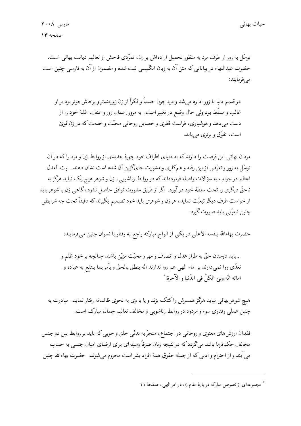توسّل به زور از طرف مرد به منظور تحمیل ارادهاش بر زن، تمرّدی فاحش از تعالیم دیانت بهائی است. حضرت عبدالبهاء در بیاناتی که متن آن به زبان انگلیسی ثبت شده و مضمون از آن به فارسی چنین است مىفرمايند:

در قديم دنيا با زور اداره ميشد و مرد چون جسماً و فكراً از زن زورمندتر و پرخاش جوتر بود بر او غالب و مسلَّط بود ولي حال وضع در تغيير است. به مرور اِعمال زور و عنف، غلبهٔ خود را از دست می دهد و هوشیاری، فراست فطری و خصایل روحانی محبّت و خدمت که در زن قویّ است، تفوّق و برتری می یابد.

مردان بهائی این فرصت را دارند که به دنیای اطراف خود چهرهٔ جدیدی از روابط زن و مرد را که در آن توسّل به زور و تعرّض از بین رفته و همکاری و مشورت جایگزین آن شده است نشان دهند. بیت العدل اعظم در جواب به سؤالات واصله فرمودهاند که در روابط زناشویی، زن و شوهر هیچ یک نباید هرگز به ناحقٌّ دیگری را تحت سلطهٔ خود در آورد. اگر از طریق مشورت توافق حاصل نشود، گاهی زن یا شوهر باید از خواست طرف دیگر تبعیّت نماید، هر زن و شوهری باید خود تصمیم بگیرند که دقیقاً تحت چه شرایطی چنين تبعيّتي بايد صورت گيرد.

حضرت بهاءالله بنفسه الاعلى در يكى از الواح مباركه راجع به رفتار با نسوان چنين مىفرمايند:

...بايد دوستان حقٌّ به طراز عدل و انصاف و مهر و محبّت مزيّن باشند چنانچه بر خود ظلم و تعدَّى روا نمي دارند بر اماء الهي هم روا ندارند انَّه ينطق بالحقَّ و يأمر بما ينتفع به عباده و امائه انّه وليّ الكلّ في الدّنيا و الآخرة.\*

هیچ شوهر بهائی نباید هرگز همسرش راکتک بزند و یا با وی به نحوی ظالمانه رفتار نماید. مبادرت به چنین عملی رفتاری سوء و مردود در روابط زناشویی و مخالف تعالیم جمال مبارک است.

فقدان ارزش های معنوی و روحانی در اجتماع، منجرٌ به تدنّی خلق و خویبی که باید بر روابط بین دو جنس مخالف حکمفرما باشد میگردد که در نتیجه زنان صرفاً وسیلهای برای ارضای امیال جنسی به حساب مي آيند و از احترام و ادبي كه از جمله حقوق همهٔ افراد بشر است محروم مي شوند. حضرت بهاءالله چنين

مجموعهای از نصوص مبارکه در بارهٔ مقام زن در امر الهی، صفحهٔ ۱۱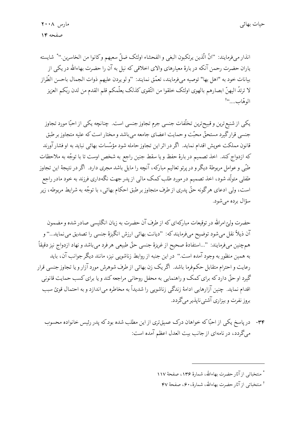انذار مي فرمايند: "انَّ الّذين يرتكبون البغي و الفحشاء اولئك ضلِّ سعيهم وكانوا من الخاسرين.'' \* شايسته یاران حضرت رحمن آنکه در بارهٔ معیارهای والای اخلاقی که نیل به آن را حضرت بهاءالله در یکی از بيانات خود به "اهل بها" توصيه ميeفرمايند، تعمَّق نمايند: "و لو يردن عليهم ذوات الجمال باحسن الطَّراز لا ترتدّ اليهنّ ابصارهم بالهوى اولئك خلقوا من التّقوى كذلك يعلّمكم قلم القدم من لدن ربّكم العزيز الوهّاب...."أ

یکی از شنیع ترین و قبیح ترین تخلّفات جنسی جرم تجاوز جنسی است. چنانچه یکی از احبّا مورد تجاوز جنسي قرارگيرد مستحقٌّ محبّت وحمايت اعضاي جامعه مي باشد و مختار است كه عليه متجاوز بر طبق قانون مملکت خویش اقدام نماید. اگر در اثر این تجاوز حامله شود مؤسّسات بهائی نباید به او فشار آورند كه ازدواج كند. اخذ تصميم دربارهٔ حفظ ويا سقط جنين راجع به شخص اوست تا با توجّه به ملاحظات طبّی و عوامل مربوطهٔ دیگر و در پرتو تعالیم مبارکه، آنچه را مایل باشد مجری دارد. اگر در نتیجهٔ این تجاوز طفلی متولّد شود، اخذ تصمیم در مورد طلب کمک مالی از پدر جهت نگهداری فرزند به خود مادر راجع است، ولی ادعای هرگونه حقٌّ پدری از طرف متجاوز بر طبق احکام بهائی، با توجّه به شرایط مربوطه، زیر سؤال برده مي شود.

حضرت ولیّ امرالله در توقیعات مبارکهای که از طرف آن حضرت به زبان انگلیسی صادر شده و مضمون آن ذيلاً نقل ميشود توضيح ميفرمايند كه: "ديانت بهائي ارزش انگيزهٔ جنسي را تصديق مي نمايد…" و همچنین میفرمایند: ''…استفادهٔ صحیح از غریزهٔ جنسی حقّ طبیعی هرفرد میباشد و نهاد ازدواج نیز دقیقاً به همین منظور به وجود آمده است." در این جنبه از روابط زناشویی نیز، مانند دیگر جوانب آن، باید رعایت و احترام متقابل حکمفرما باشد. آگر یک زن بهائی از طرف شوهرش مورد آزار و یا تجاوز جنسی قرار گیرد او حقّ دارد که برای کمک و راهنمایی به محفل روحانی مراجعه کند و یا برای کسب حمایت قانونی اقدام نماید. چنین آزارهایی ادامهٔ زندگی زناشویی را شدیداً به مخاطره می|ندازد و به احتمال قویّ سبب بروز نفرت و بیزاری آشتی ناپذیر میگردد.

۳۴- در پاسخ یکی از احبّاکه خواهان درک عمیقتری از این مطلب شده بودکه پدر رئیس خانواده محسوب میگردد، در نامهای از جانب بیت العدل اعظم آمده است:

<sup>\*</sup> منتخباتي از آثار حضرت بهاءالله، شمارهٔ ۱۳۶، صفحهٔ ۱۱۷

أ منتخباتي إذ آثار حضرت بهاءالله، شمارهٔ، °۶۰ صفحهٔ ۴۷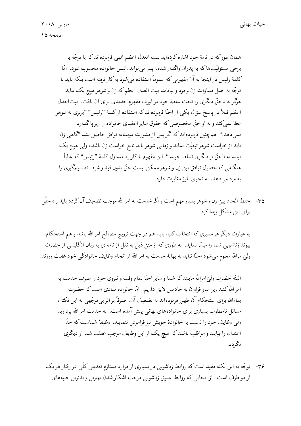همان طورکه در نامهٔ خود اشاره کردهاید بیت العدل اعظم الهی فرمودهاندکه با توجّه به برخی مسئولیّتها که به پدران واگذار شده، پدر می تواند رئیس خانواده محسوب شود. امّا كلمهٔ رئیس در اینجا به آن مفهومی كه عموماً استفاده می شود به كار نرفته است بلكه باید با توجّه به اصل مساوات زن و مرد و بیانات بیت العدل اعظم که زن و شوهر هیچ یک نباید هرگز به ناحقٌّ دیگری را تحت سلطهٔ خود در آورد، مفهوم جدیدی برای آن یافت. بیتالعدل اعظم قبلاً در پاسخ سؤال یکی از احبّا فرمودهاندکه استفاده ازکلمهٔ "رئیس'' "برتری به شوهر عطا نمي كند و به او حقٌّ مخصوصي كه حقوق ساير اعضاي خانواده را زير پا گذارد نمي دهد." همچنين فرمودهاند كه اگر پس از مشورت دوستانه توافق حاصل نشد "گاهي زن باید از خواست شوهر تبعیّت نماید و زمانی شوهر باید تابع خواست زن باشد، ولی هیچ یک نبايد به ناحقٌّ بر ديگري تسلُّط جويد.'' اين مفهوم باكاربرد متداول كلمهٔ ''رئيس''كه غالباً ُ هنگامی که حصول توافق بین زن و شوهر ممکن نیست حقّ بدون قید و شرط تصمیمگیری را به مرد می دهد، به نحوی بارز مغایرت دارد.

۳۵- حفظ اتّحاد بین زن و شوهر بسیار مهم است و اگر خدمت به امر الله موجب تضعیف آن گردد باید راه حلّمی برای این مشکل پیداکرد.

به عبارت دیگر هر مسیری که انتخاب کنید باید هم در جهت ترویج مصالح امر الله باشد و هم استحکام پیوند زناشویی شما را میسّر نماید. به طوری که از متن ذیل به نقل از نامهای به زبان انگلیسی از حضرت وليِّ امرالله معلوم مي شود احبًّا نبايد به بهانهٔ خدمت به امر الله از انجام وظايف خانوادگي خود غفلت ورزند:

البتّه حضرت وليّ امرالله مايلند كه شما و ساير احبّا تمام وقت و نيروى خود را صرف خدمت به امر الله کنید زیرا نیاز فراوان به خادمین لایق داریم. امّا خانواده نهادی است که حضرت بهاءالله برای استحکام آن ظهور فرمودهاند نه تضعیف آن. صرفاً بر اثر بی توجّهی به این نکته، مسائل نامطلوب بسیاری برای خانوادههای بهائی پیش آمده است. به خدمت امر الله پردازید ولی وظایف خود را نسبت به خانوادهٔ خویش نیز فراموش ننمایید. وظیفهٔ شماست که حدّ اعتدال را بیابید و مواظب باشید که هیچ یک از این وظایف موجب غفلت شما از دیگری نگردد.

۳۶- توجّه به این نکته مفید است که روابط زناشویی در بسیاری از موارد مستلزم تعدیلی کلّی در رفتار هر یک از دو طرف است. از آنجایی که روابط عمیق زناشویی موجب آشکار شدن بهترین و بدترین جنبههای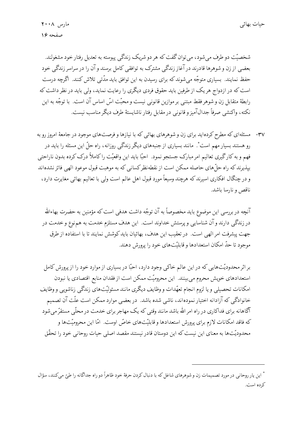شخصیّت دو طرف می شود، می توان گفت که هر دو شریک زندگی پیوسته به تعدیل رفتار خود مشغولند. بعضي از زن و شوهرها قادرند در آغاز زندگي مشترک به توافقي کامل برسند و آن را در سراسر زندگي خود حفظ نمایند. بسیاری متوجّه می شوند که برای رسیدن به این توافق باید مدّتی تلاش کنند. اگرچه درست است که در ازدواج هر یک از طرفین باید حقوق فردی دیگری را رعایت نماید، ولی باید در نظر داشت که رابطهٔ متقابل زن و شوهر فقط مبتنی بر موازین قانونی نیست و محبّت اسّ اساس آن است. با توجّه به این نكته، واكنشى صرفاً جدالآميز و قانونى در مقابل رفتار ناشايستهٔ طرف ديگر مناسب نيست.

۳۷- مسئلهای که مطرح کردهاید برای زن و شوهرهای بهائی که با نیازها و فرصتهای موجود در جامعهٔ امروز رو به رو هستند بسیار مهم است ٌ. مانند بسیاری از جنبههای دیگر زندگی روزانه، راه حلّ این مسئله را باید در فهم و به کارگیری تعالیم امر مبارک جستجو نمود. احبّا باید این واقعیّت راکاملاً درک کرده بدون ناراحتی بیذیرند که راه حلٌّ های حاصله ممکن است از نقطه نظر کسانی که به موهبت قبول موعود الهی فائز نشدهاند و در چنگال افکاری اسیرند که هرچند وسیعاً مورد قبول اهل عالم است ولی با تعالیم بهائی مغایرت دارد، ناقص و نارسا باشد.

آنچه در بررسی این موضوع باید مخصوصاً به آن توجّه داشت هدفی است که مؤمنین به حضرت بهاءالله در زندگی دارند و آن شناسایی و پرستش خداوند است. این هدف مستلزم خدمت به هم نوع و خدمت در جهت پیشرفت امر الهی است. در تعقیب این هدف، بهائیان باید کوشش نمایند تا با استفاده از طرق موجود تا حدّ امکان استعدادها و قابلیّتهای خود را پرورش دهند.

بر اثر محدودیّتهایی که در این عالم خاکی وجود دارد، احبّا در بسیاری از موارد خود را از پرورش کامل استعدادهای خویش محروم می بینند. این محرومیّت ممکن است از فقدان منابع اقتصادی یا نبودن امکانات تحصیلی و یا لزوم انجام تعهّدات و وظایف دیگری مانند مسئولیّتهای زندگی زناشویی و وظایف خانوادگی که آزادانه اختیار نمودهاند، ناشی شده باشد. در بعضی موارد ممکن است علّت آن تصمیم آگاهانه برای فداکاری در راه امر الله باشد مانند وقتبی که یک مهاجر برای خدمت در محلّبی مستقرّ می شود که فاقد امکانات لازم برای پرورش استعدادها و قابلیّتهای خاصّ اوست. امّا این محرومیّتها و محدوديّتها به معناي اين نيست كه اين دوستان قادر نيستند مقصد اصلي حيات روحاني خود را تحقّق

<sup>\*</sup> اين يار روحاني در مورد تصميمات زن و شوهرهاي شاغل كه با دنبال كردن حرفهٔ خود ظاهراً دو راه جداگانه را طيّ ميكنند، سؤال كرده است.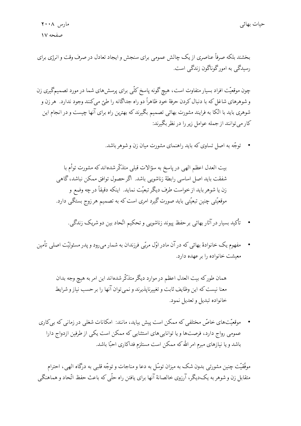مارس ۲۰۰۸ صفحه ١٧

بخشند بلکه صرفاً عناصری از یک چالش عمومی برای سنجش و ایجاد تعادل در صرف وقت و انرژی برای رسیدگی به امور گوناگون زندگی است.

چون موقعیّت افراد بسیار متفاوت است، هیچ گونه پاسخ کلّی برای پرسش۵ای شما در مورد تصمیمگیری زن و شوهرهاي شاغل كه با دنبال كردن حرفهٔ خود ظاهراً دو راه جداگانه را طبّ مي كنند وجود ندارد. هر زن و شوهری باید با اتّکا به فرایند مشورت بهائی تصمیم بگیرندکه بهترین راه برای آنها چیست و در انجام این کار می توانند از جمله عوامل زیر را در نظر بگیرند:

• توجُّه به اصل تساوى كه بايد راهنماي مشورت مبان زن و شوهر باشد.

بیت العدل اعظم الهی در پاسخ به سؤالات قبلی متذکّرشدهاند که مشورت توأم با شفقت بايد اصل اساسي رابطهٔ زناشويي باشد. اگر حصول توافق ممكن نباشد، گاهي زن يا شوهر بايد از خواست طرف ديگر تبعيّت نمايد. اينكه دقيقاً در چه وضع و موقعیّتی چنین تبعیّتی باید صورت گیرد امری است که به تصمیم هر زوج بستگی دارد.

- تأكيد بسيار در آثار بهائي بر حفظ پيوند زناشويي و تحكيم اتّحاد بين دو شريك زندگي.
- مفهوم یک خانوادهٔ بهائی که در آن مادر اوّل مربّی فرزندان به شمار می رود و یدر مسئولیّت اصلی تأمین معیشت خانواده را بر عهده دارد.

همان طورکه بیت العدل اعظم در موارد دیگر متذکّرشدهاند این امر به هیچ وجه بدان معنا نیست که این وظایف ثابت و تغییرناپذیرند و نمی توان آنها را بر حسب نیاز و شرایط خانواده تبديل و تعديل نمود.

• موقعیّتهای خاصّ مختلفی که ممکن است پیش بیاید، مانند: امکانات شغلی در زمانی که بی کاری عمومی رواج دارد، فرصتها و یا تواناییهای استثنایی که ممکن است یکی از طرفین ازدواج دارا باشد و یا نیازهای مبرم امر الله که ممکن است مستلزم فداکاری احبّا باشد.

موفَّقيَّت چنين مشورتي بدون شک به ميزان توسَّل به دعا و مناجات و توجُّه قلبي به درگاه الهي، احترام متقابل زن و شوهر به یک دیگر، آرزوی خالصانهٔ آنها برای یافتن راه حلّی که باعث حفظ اتّحاد و هماهنگی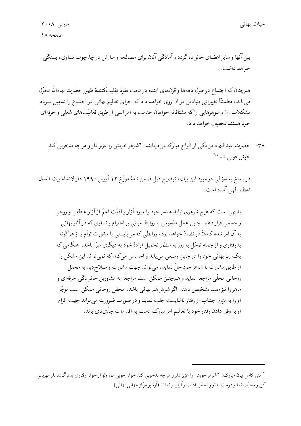بین آنها و سایر اعضای خانواده گردد و آمادگی آنان برای مصالحه و سازش در چارچوب تساوی، بستگی خواهد داشت.

همچنان که اجتماع در طول دههها و قرنهای آینده در تحت نفوذ تقلیبکنندهٔ ظهور حضرت بهاءالله تحوّل مییابد، مطمئنّاً تغییراتی بنیادین در آن روی خواهد داد که اجرای تعالیم بهائی در اجتماع را تسهیل نموده مشکلات زن و شوهرهایی را که مشتاقانه خواهان خدمت به امر الهی از طریق فعّالیّتهای شغلبی و حرفهای خود هستند تخفیف خواهد داد.

۳۸- حضرت عبدالبهاء دريكي از الواح مباركه مي فرمايند: "شوهر خويش را عزيز دار و هر چه بدخويي كند خوش خوپي نما."\*

در پاسخ به سؤالی در مورد این بیان، توضیح ذیل ضمن نامهٔ مورّخ ۱۲ آوریل ۱۹۹۰ دارالانشاء بیت العدل اعظم الهي آمده است:

بدیهی است که هیچ شوهری نباید همسرخود را مورد آزار و اذیّت اعمّ از آزار عاطفی و روحی وجسمی قرار دهد. چنین عمل مذمومی با روابط مبتنی بر احترام و تساوی که در آثار بهائی به آن امر شده کاملاً در تضادّ خواهد بود، روابطی که میبایستی با مشورت توأم و از هرگونه بدرفتاری و از جمله توسّل به زور به منظور تحمیل ارادهٔ خود به دیگری مبرّا باشد. هنگامی که یک زن بهائی خود را درچنین وضعی می یابد و احساس میکند که نمی تواند این مشکل را از طریق مشورت با شوهر خود حلّ نماید، می تواند جهت مشورت و صلاح دید به محفل روحانی محلّی مراجعه نماید و همچنین ممکن است مراجعه به مشاورین خانوادگی حرفهای و ماهررا نیز مفید تشخیص دهد. اگر شوهر هم بهائی باشد، محفل روحانی ممکن است توجّه او را به لزوم اجتناب از رفتار ناشايست جلب نمايد و در صورت ضرورت مي تواند جهت الزام او به وفق دادن رفتار خود با تعالیم امر مبارک دست به اقدامات جدّیتری بزند.

<sup>\*</sup> متن کامل بیان مبارک: "شوهر خویش را عزیز دار و هر چه بدخویی کند خوشخویی نما ولو از خوشروفتاری بدترگردد باز مهربانی كن و محبّت نما و دوست بدار و تحمّل اذيّت و آزار او نما." (آرشيو مركز جهاني بهائي)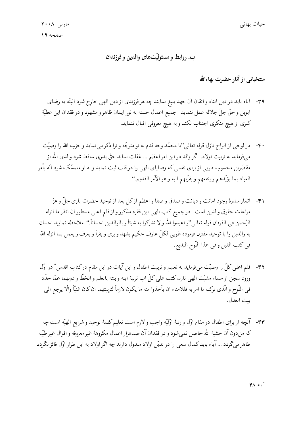ب. روابط و مسئولیّتهای والدین و فرزندان

منتخباتبي از آثار حضرت بهاءالله

- ٣٩- آباء بايد در دين ابناء و اتقان آن جهد بليغ نمايند چه هر فرزندي از دين الهي خارج شود البتّه به رضاي ابوين و حقٌّ جلَّ جلاله عمل ننمايد. جميع اعمال حسنه به نور ايمان ظاهر و مشهود و در فقدان اين عطيّة كبرى از هيچ منكرى اجتناب نكند و به هيچ معروفي اقبال ننمايد.
- ۴۰ در لوحي از الواح نازل قوله تعالى"يا محمّد وجه قدم به تو متوجّه و ترا ذكر مي نمايد و حزب الله را وصيّت میفرماید به تربیت اولاد. آگروالد در این امر اعظم … غفلت نماید حقٌّ پدری ساقط شود و لدی الله از مقصّرین محسوب طوبی از برای نفسی که وصایای الهی را در قلب ثبت نماید و به او متمسّک شود انّه یأمر العباد بما يؤيّدهم وينفعهم ويقرّبهم اليه و هو الآمر القديم."
- ۴۱- اثمار سدرهٔ وجود امانت و دیانت و صدق و صفا و اعظم از کل بعد از توحید حضرت باری جلّ و عزّ مراعات حقوق والدين است. درجميع كتب الهي اين فقره مذكور و از قلم اعلى مسطور ان انظر ما انزله الرَّحمن في الفرقان قوله تعالى''و اعبدوا الله و لا تشركوا به شيئاً و بالوالدين احساناً.'' ملاحظه نماييد احسان به والدين را با توحيد مقترن فرموده طوبي لكلِّ عارف حكيم يشهد و يرى و يقرأ و يعرف و يعمل بما انزله الله في كتب القبل و في هذا اللّوح البديع.
- ۴۲- قلم اعلی کلّ را وصیّت میفرماید به تعلیم و تربیت اطفال و این آیات در این مقام درکتاب اقدس ٌ در اوّل ورود سجن از سماء مشيّت الهي نازل كتب على كلّ اب تربية ابنه و بنته بالعلم و الخطّ و دونهما عمّا حدّد في اللَّوح و الَّذى ترك ما امر به فللامناء ان يأخذوا منه ما يكون لازماً لتربيتهما ان كان غنيّاً والّا يرجع الي بيت العدل.
- ۴۳- آنچه از برای اطفال در مقام اوّل و رتبهٔ اوّلیّه واجب و لازم است تعلیم کلمهٔ توحید و شرایع الهیّه است چه كه مندون آن خشية الله حاصل نمي شود و در فقدان آن صدهزار اعمال مكروههٔ غير معروفه و اقوال غير طيّبه ظاهر می گردد … آباء باید کمال سعی را در تدیّن اولاد مبذول دارند چه اگر اولاد به این طراز اوّل فائز نگردد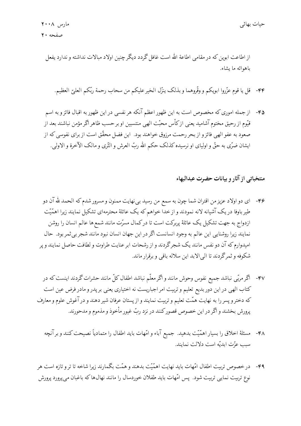از اطاعت ابوین که در مقامی اطاعة الله است غافل گردد دیگر چنین اولاد مبالات نداشته و ندارد یفعل باهوائه ما يشاء.

۴۴- قل يا قوم عزّروا ابويكم و وقّروهما و بذلك ينزّل الخير عليكم من سحاب رحمة ربّكم العليّ العظيم.

۴۵- از جمله اموری که مخصوص است به این ظهور اعظم آنکه هر نفسی در این ظهور به اقبال فائز و به اسم قیّوم از رحیق مختوم آشامید یعنی ازکاْس محبّت الهی منتسبین او بر حسب ظاهر اگر مؤمن نباشند بعد از صعود به عفو الهي فائز و از بحر رحمت مرزوق خواهند بود. اين فضل محقّق است از براي نفوسي كه از ايشان ضرّى به حقٌّ و اولياى او نرسيده كذلك حكم الله ربُّ العرش و الثَّرى و مالک الآخرة و الاولى.

منتخباتي از آثار و بيانات حضرت عبدالبهاء

- ۴۶- ای دو اولاد عزیز من اقتران شما چون به سمع من رسید بی نهایت ممنون و مسرور شدم که الحمد لله آن دو طیر باوفا در یک آشیانه لانه نمودند و از خدا خواهم که یک عائلهٔ محترمهای تشکیل نمایند زیرا اهمّیّت ازدواج به جهت تشکیل یک عائلهٔ پربرکت است تا درکمال مسرّت مانند شمع ها عالم انسان را روشن نمايند زيرا روشنايي اين عالم به وجود انسانست اگر در اين جهان انسان نبود مانند شجر بي ثمر بود. حال امیدوارم که آن دو نفس مانند یک شجرگردند و از رشحات ابر عنایت طراوت و لطافت حاصل نمایند و پر شکوفه و ثمرگردند تا البی الابد این سلاله باقبی و برقرار ماند.
- ۴۷- اگر مربّی نباشد جمیع نفوس وحوش مانند و اگر معلّم نباشد اطفال کلّ مانند حشرات گردند اینست که در کتاب الهی در این دور بدیع تعلیم و تربیت امر اجباریست نه اختیاری یعنی بر پدر و مادر فرض عین است که دختر و پسر را به نهایت همّت تعلیم و تربیت نمایند و از پستان عرفان شیر دهند و در آغوش علوم و معارف پرورش بخشند و اگر در این خصوص قصور کنند در نزد ربّ غیور مأخوذ و مذموم و مدحورند.
	- ۴۸- مسئلهٔ اخلاق را بسیار اهمّیّت بدهید. جمیع آباء و امّهات باید اطفال را متمادیاً نصیحت کنند و بر آنچه سب عزّت ابديّه است دلالت نمايند.
- ۴۹- درخصوص تربیت اطفال امّهات باید نهایت اهمّیّت بدهند و همّت بگمارند زیرا شاخه تا تر و تازه است هر نوع تربیت نمایی تربیت شود. پس امّهات باید طفلان خوردسال را مانند نهالها که باغبان میپرورد پرورش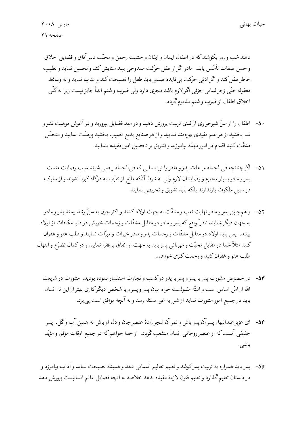دهند شب و روز بکوشند که در اطفال ایمان و ایقان و خشیت رحمن و محبّت دلیر آفاق و فضایل اخلاق و حسن صفات تأسّس يابد. مادر اگر از طفل حركت ممدوحي بيند ستايش كند و تحسين نمايد و تطييب خاطر طفل كند و اگر ادني حركت بي فايده صدور يابد طفل را نصيحت كند و عتاب نمايد و به وسائط معقوله حتَّى زجر لساني جزئي اگر لازم باشد مجري دارد ولي ضرب و شتم ابداً جايز نيست زيرا به كلَّى اخلاق اطفال از ضرب و شتم مذموم گردد.

- ۵۰ اطفال را از سنّ شیرخواری از ثدی تربیت پرورش دهید و در مهد فضایل بپرورید و در آغوش موهبت نشو و نما بخشید از هر علم مفیدی بهرهمند نمایید و از هر صنایع بدیع نصیب بخشید پرهمّت نمایید و متحمّل مشقّت كنيد اقدام در امور مهمّه بياموزيد و تشويق بر تحصيل امور مفيده بنماييد.
- ٥١- أكّر چنانچه في الجمله مراعات پدر و مادر را نيز بنمايي كه في الجمله راضي شوند سبب رضايت منست. پدر و مادر بسیار محترم و رضایشان لازم ولی به شرط آنکه مانع از تقرّب به درگاه کبریا نشوند و از سلوک درسبيل ملكوت بازندارند بلكه بايد تشويق وتحريص نمايند.
- ۵۲- و همچنین پدرو مادر نهایت تعب و مشقّت به جهت اولاد کشند و اکثرچون به سنّ رشد رسند پدر و مادر به جهان دیگر شتابند نادراً واقع که پدر و مادر در مقابل مشقّات و زحمات خویش در دنیا مکافات از اولاد بینند. پس باید اولاد در مقابل مشقّات و زحمات پدر و مادر خیرات و مبرّات نمایند و طلب عفو و غفران كنند مثلاً شما در مقابل محبّت و مهرباني پدر بايد به جهت او انفاق بر فقرا نماييد و دركمال تضرّع و ابتهال طلب عفو و غفران کنید و رحمت کیږي خواهید.
	- ۵۳- در خصوص مشورت پدر با پسر و پسر با پدر درکسب و تجارت استفسار نموده بودید. مشورت در شریعت الله از اسّ اساس است و البتّه مقبولست خواه میان پدر و پسر و یا شخص دیگر کاری بهتر از این نه انسان باید در جمیع امور مشورت نماید از شور به غور مسئله رسد و به آنچه موافق است پی برد.
	- ۵۴- ای عزیز عبدالبهاء پسر آن پدر باش و ثمر آن شجر زادهٔ عنصر جان و دل او باش نه همین آب وگل. پسر حقیقی آنست که از عنصر روحانی انسان منشعب گردد. از خدا خواهم که در جمیع اوقات موفّق و مؤیّد باشى.
- ۵۵- پدرباید همواره به تربیت پسرکوشد و تعلیم تعالیم آسمانی دهد و همیشه نصیحت نماید و آداب بیاموزد و در دبستان تعليم گذارد و تعليم فنون لازمهٔ مفيده بدهد خلاصه به آنچه فضايل عالم انسانيست پرورش دهد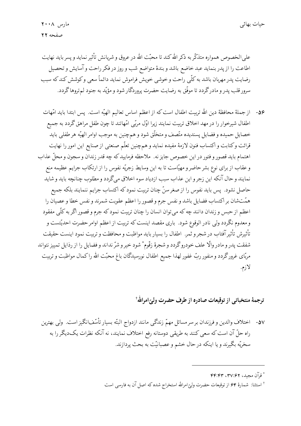على الخصوص همواره متذكَّر به ذكر الله كند تا محبَّت الله در عروق و شريانش تأثير نمايد و يسر بايد نهايت اطاعت را از پدر بنماید عبد خاضع باشد و بندهٔ متواضع شب و روز در فکر راحت و آسایش و تحصیل رضایت پدر مهربان باشد به کلّی راحت و خوشی خویش فراموش نماید دائماً سعی وکوشش کند که سبب سرور قلب پدر و مادرگردد تا موفّق به رضایت حضرت پروردگار شود و مؤیّد به جنود لم تروها گردد.

۵۶- از جملهٔ محافظهٔ دین الله تربیت اطفال است که از اعظم اساس تعالیم الهیّه است. پس ابتدا باید امّهات اطفال شیرخوار را در مهد اخلاق تربیت نمایند زیرا اوّل مربّی امّهاتند تا چون طفل مراهق گردد به جمیع خصايل حميده و فضايل پسنديده متّصف و متخلّق شود و همچنين به موجب اوامر الهيّه هر طفلي بايد قرائت وكتابت و اكتساب فنون لازمهٔ مفیده نماید و همچنین تعلّم صنعتی از صنایع این امور را نهایت اهتمام بايد قصور و فتور در اين خصوص جايز نه. ملاحظه فرماييد كه چه قدر زندان و سجون و محلٌّ عذاب و عقاب از برای نوع بشر حاضر و مهیّاست تا به این وسایط زجریّه نفوس را از ارتکاب جرایم عظیمه منع نمايند وحال آنكه اين زجرو اين عذاب سبب ازدياد سوء اخلاق ميگردد و مطلوب چنانچه بايد و شايد حاصل نشود. پس باید نفوس را از صغرسنّ چنان تربیت نمود که اکتساب جرایم ننمایند بلکه جمیع همّتشان بر اكتساب فضايل باشد و نفس جرم و قصور را اعظم عقوبت شمرند و نفس خطا و عصيان را اعظم از حبس و زندان دانند چه که میتوان انسان را چنان تربیت نمود که جرم و قصور اگر به کلّی مفقود و معدوم نگردد ولی نادر الوقوع شود. باری مقصد اینست که تربیت از اعظم اوامر حضرت احدیّتست و تأثيرش تأثيرآفتاب درشجرو ثمر. اطفال را بسيار بايد مواظبت و محافظت و تربيت نمود اينست حقيقت شفقت پدر و مادر والّا علف خودروگردد و شجرهٔ زقّوم \* شود خیر و شرّ نداند و فضایل را از رذایل تمییز نتواند مربّای غرورگردد و منفور ربّ غفور لهذا جمیع اطفال نورسیدگان باغ محبّت الله راکمال مواظبت و تربیت لازم.

ترجمهٔ منتخباتی از توقیعات صادره از طرف حضرت ولیّ امرالله ٔ

۵۷- اختلاف والدین و فرزندان بر سر مسائل مهمّ زندگی مانند ازدواج البتّه بسیار تأسّفانگیز است. ولی بهترین راه حلّ آن است که سعی کنند به طریقی دوستانه رفع اختلاف نمایند، نه آنکه نظرات یکدیگر را به سخريّه بگيرند و يا اينكه در حال خشم و عصبانيّت به بحث پردازند.

\* قرآن مجيد، ٣٧:۶٢ ، ۴۴:۴۳

أ استثنا: شمارهٔ ۶۴ از توقیعات حضرت ولیِّ امرالله استخراج شده که اصل آن به فارسی است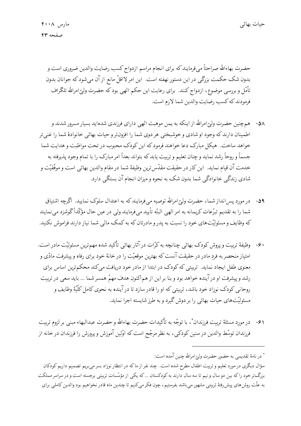حضرت بهاءالله صراحتاً مىفومايند كه براي انجام مراسم ازدواج كسب رضايت والدين ضروري است و بدون شک حکمت بزرگی در این دستور نهفته است. این امر لااقلّ مانع از آن میشود که جوانان بدون تأمّل و بررسی موضوع، ازدواج کنند. برای رعایت این حکم الهی بود که حضرت ولیّ امرالله تلگراف فرمودند كه كسب رضايت والدين شما لازم است.

- ۵۸- \_ همچنین حضرت ولیِّ امرالله از اینکه به یمن موهبت الهی دارای فرزندی شدهاید بسیار مسرور شدند و اطمينان دارند كه وجود او شادي و خوشبختي هر دوي شما را افزون تر و حيات بهائي خانوادهٔ شما را غني تر خواهد ساخت. هیکل مبارک دعا خواهند فرمود که این کودک محبوب در تحت مواظبت و هدایت شما جسماً و روحاً رشد نماید و چنان تعلیم و تربیت یابد که بتواند بعداً امر مبارک را با تمام وجود پذیرفته به خدمت آن قیام نماید. این کار در حقیقت مقدّسترین وظیفهٔ شما در مقام والدین بهائی است و موفّقیّت و شادی زندگی خانوادگی شما بدون شک به نحوه و میزان انجام آن بستگی دارد.
- ۵۹- در مورد پس!نداز شما، حضرت وليّ امرالله توصيه ميفرمايندكه به اعتدال سلوک نماييد. اگرچه اشتياق شما را به تقدیم تبرّعات کریمانه به امر الهی البتّه تأیید میفرمایند ولی در عین حال مؤکّداً گوشزد می نمایند که وظایف و مسئولیّتهای خود را نسبت به پدر و مادرتان که به کمک مالی شما نیاز دارند فراموش نکنید.
- ۶۰- وظیفهٔ تربیت و پروش کودک بهائی چنانچه به کرّات در آثار بهائی تأکید شده مهمترین مسئولیّت مادر است. امتیاز منحصر به فرد مادر در حقیقت آنست که بهترین موقعیّت را در خانهٔ خود برای رفاه و پیشرفت مادّی و معنوی طفل ایجاد نماید. تربیتی که کودک در ابتدا از مادر خود دریافت میکند محکمترین اساس برای رشد و پیشرفت او در آینده خواهد بود و بنا بر این از هم اکنون هدف مهمّ همسر شما … باید سعی در تربیت روحاني كودك نوزاد خود باشد، تربيتي كه او را قادر سازد تا در آينده به نحوي كامل كلّيّة وظايف و مسئولیّتهای حیات بهائی را بر دوش گیرد و به طرز شایسته اجرا نماید.
- ۶۱- در مورد مسئلهٔ تربیت فرزندان ٌ ، با توجّه به تأکیدات حضرت بهاءالله و حضرت عبدالبهاء مبنی بر لزوم تربیت فرزندان توسّط والدین در سنین کودکی، به نظر مرجّح است که اوّلین آموزش و پرورش را فرزندان در خانه از

\* در نامهٔ تقدیمی به حضور حضرت ولیّ امرالله چنین آمده است: سؤال دیگری در مورد تعلیم و تربیت اطفال مطرح شده است. چند نفر از ماکه در انتظار نوزاد بسر می بریم تصمیم داریم کودکان بزرگ ترخود راکه بین دو سال و نیم تا سه سال دارند به کودکستان ...که یکی از مؤسّسات تربیتی برجسته است و در سراسر مملکت به علّت روش هاي پيش رفتهٔ تربيتي مشهور مي باشد بفرستيم، چون فكر ميكنيم تا چندين ماه قادر نخواهيم بود والدين كاملي براي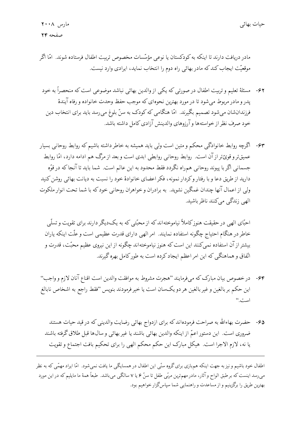مادر دریافت دارند تا اینکه به کودکستان یا نوعی مؤسّسات مخصوص تربیت اطفال فرستاده شوند. امّا اگر موقعیّت ایجاب کندکه مادر بهائی راه دوم را انتخاب نماید، ایرادی وارد نیست.

- ۶۲- مسئلهٔ تعلیم و تربیت اطفال در صورتی که یکی از والدین بهائی نباشد موضوعی است که منحصراً به خود پدر و مادر مربوط می شود تا در مورد بهترین نحوهای که موجب حفظ وحدت خانواده و رفاه آیندهٔ فرزندانشان میشود تصمیم بگیرند. امّا هنگامی که کودک به سنّ بلوغ می رسد باید برای انتخاب دین خود صرف نظر از خواستهها وآرزوهاى والدينش آزادى كامل داشته باشد.
- ۶۳- اگرچه روابط خانوادگی محکم و متین است ولی باید همیشه به خاطر داشته باشیم که روابط روحانی بسیار عميقتر وقويّ تر از آن است. روابط روحاني روابطي ابدي است و بعد از مرگ هم ادامه دارد، امّا روابط جسماني اگر با پيوند روحاني همراه نگردد فقط محدود به اين عالم است. شما بايد تا آنجا كه در قوّه دارید از طریق دعا و با رفتار و کردار نمونه، فکر اعضای خانوادهٔ خود را نسبت به دیانت بهائی روشن کنید ولی از اعمال آنها چندان غمگین نشوید. به برادران و خواهران روحانی خود که با شما تحت انوار ملکوت الهي زندگي مي كنند ناظر باشيد.

احبّای الهی در حقیقت هنوزکاملاً نیاموختهاندکه از محبّتی که به یکدیگر دارند برای تقویت و تسلّی خاطر در هنگام احتیاج چگونه استفاده نمایند. امر الهی دارای قدرت عظیمی است و علّت اینکه یاران بیشتر از آن استفاده نمی کنند این است که هنوز نیاموختهاند چگونه از این نیروی عظیم محبّت، قدرت و اتّفاق و هماهنگی که این امر اعظم ایجاد کرده است به طور کامل بهره گیرند.

- ۶۴- درخصوص بیان مبارک که میفرمایند "هجرت مشروط به موافقت والدین است اقناع آنان لازم و واجب" اين حكم بر بالغين و غير بالغين هر دو يكسان است يا خير فرمودند بنويس ''فقط راجع به اشخاص نابالغ است."
	- ۶۵- حضرت بهاءالله به صراحت فرمودهاند که برای ازدواج بهائی رضایت والدینی که در قید حیات هستند ضروري است. اين دستور اعمّ از اينكه والدين بهائي باشند يا غير بهائي وسال ها قبل طلاق گرفته باشند يا نه، لازم الاجرا است. هيكل مبارك اين حكم محكم الهي را براي تحكيم بافت اجتماع و تقويت

اطفال خود باشیم و نیز به جهت اینکه هم.بازی برای گروه سنّی این اطفال در همسایگی ما یافت نمی شود. امّا ایراد مهمّی که به نظر می رسد اینست که بر طبق الواح و آثار، مادر مهم ترین مربّی طفل تا سنّ ۶ یا ۷ سالگی می باشد. طبعاً همهٔ ما مایلیم که در این مورد بهترین طریق را برگزینیم و از مساعدت و راهنمایی شما سپاسگزار خواهیم بود.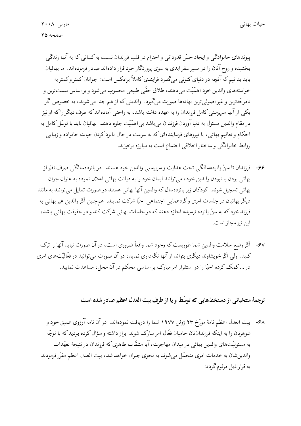پیوندهای خانوادگی و ایجاد حسّ قدردانی و احترام در قلب فرزندان نسبت به کسانی که به آنها زندگی بخشیده و روح آنان را در مسیر سفر ابدی به سوی پروردگار خود قرار دادهاند صادر فرمودهاند. ما بهائیان باید بدانیم که آنچه در دنیای کنونی میگذرد فرایندی کاملاً برعکس است: جوانان کمتر و کمتر به خواستههاي والدين خود اهمّيّت مي دهند، طلاق حقّي طبيعي محسوب مي شود و بر اساس سستترين و ناموجّهترین و غیر اصولیترین بهانهها صورت میگیرد. والدینی که از هم جدا میشوند، به خصوص اگر یکمی از آنها سرپرستی کامل فرزندان را به عهده داشته باشد، به راحتی آمادهاند که طرف دیگر را که او نیز در مقام والدین مسئول به دنیا آوردن فرزندان می باشد بی اهمّیّت جلوه دهند. بهائیان باید با توسّل کامل به احکام و تعالیم بهائی، با نیروهای فرسایندهای که به سرعت در حال نابود کردن حیات خانواده و زیبایی روابط خانوادگی و ساختار اخلاقی اجتماع است به مبارزه برخیزند.

- ۶۶- فرزندان تا سنّ پانزدهسالگي تحت هدايت و سرپرستي والدين خود هستند. در پانزدهسالگي صرف نظر از بهائي بودن يا نبودن والدين خود، مي توانند ايمان خود را به ديانت بهائي اعلان نموده به عنوان جوان بهائي تسجيل شوند. كودكان زير پانزدهسال كه والدين آنها بهائي هستند در صورت تمايل مي توانند به مانند دیگر بهائیان در جلسات امری وگردهمایی اجتماعی احبّا شرکت نمایند. همچنین اگروالدین غیر بهائی به فرزند خود که به سنّ پانزده نرسیده اجازه دهندکه در جلسات بهائی شرکت کند و در حقیقت بهائی باشد، اين نيز مجاز است.
- ۶۷- اگر وضع سلامت والدین شما طوریست که وجود شما واقعاً ضروری است، در آن صورت نباید آنها را ترک کنید. ولی اگر خویشاوند دیگری بتواند از آنها نگهداری نماید، در آن صورت می توانید در فعّالیّتهای امری در … کمک کرده احبّا را در استقرار امر مبارک بر اساسی محکم در آن محل، مساعدت نمایید.

ترجمهٔ منتخباتی از دستخطهایی که توسّط و یا از طرف بیت العدل اعظم صادر شده است

۶۸- بيت العدل اعظم نامهٔ مورّخ ۲۳ ژوئن ۱۹۷۷ شما را دريافت نمودهاند. در آن نامه آرزوی عميق خود و شوهرتان را به اینکه فرزندانتان حامیان فعّال امر مبارک شوند ابراز داشته و سؤال کرده بودید که با توجّه به مسئولیّتهای والدین بهائی در میدان مهاجرت، آیا مشقّات ظاهری که فرزندان در نتیجهٔ تعهّدات والدين شان به خدمات امري متحمّل مي شوند به نحوي جبران خواهد شد، بيت العدل اعظم مقرّر فرمودند به قرار ذیل مرقوم گردد: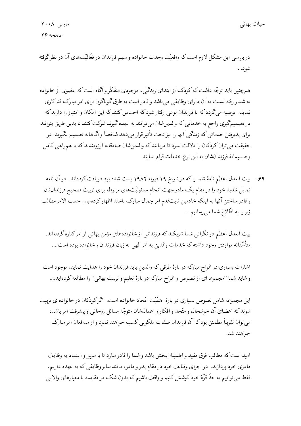در بررسی این مشکل لازم است که واقعیّت وحدت خانواده و سهم فرزندان در فعّالیّتهای آن در نظرگرفته شود...

همچنین باید توجّه داشت که کودک از ابتدای زندگی، موجودی متفکّر و آگاه است که عضوی از خانواده به شمار رفته نسبت به آن دارای وظایفی می باشد و قادر است به طرق گوناگون برای امر مبارک فداکاری نماید. توصیه میگردد که با فرزندان نوعی رفتار شود که احساس کنند که این امکان و امتیاز را دارند که در تصمیمگیری راجع به خدماتی که والدینشان می توانند به عهده گیرند شرکت کنند تا بدین طریق بتوانند برای پذیرفتن خدماتی که زندگی آنها را نیز تحت تأثیر قرار میدهد شخصاً و آگاهانه تصمیم بگیرند. در حقیقت می توان کودکان را دلالت نمود تا دریابند که والدینشان صادقانه آرزومندند که با همراهی کامل و صميمانهٔ فرزندانشان به اين نوع خدمات قيام نمايند.

۶۹- بیت العدل اعظم نامهٔ شما راکه در تاریخ ۱۹ فوریه ۱۹۸۲ پست شده بود دریافت کردهاند. در آن نامه تمایل شدید خود را در مقام یک مادر جهت انجام مسئولیّتهای مربوطه برای تربیت صحیح فرزندانتان و قادر ساختن آنها به اينكه خادمين ثابتقدم امر جمال مبارك باشند اظهار كردهايد. حسب الامر مطالب زیر را به اطّلاع شما میرسانیم....

بیت العدل اعظم در نگرانی شما شریکند که فرزندانی از خانوادههای مؤمن بهائی از امرکناره گرفتهاند. متأسَّفانه مواردي وجود داشته كه خدمات والدين به امر الهي به زيان فرزندان و خانواده بوده است....

اشارات بسیاری در الواح مبارکه در بارهٔ طرقبی که والدین باید فرزندان خود را هدایت نمایند موجود است و شايد شما "مجموعهاي از نصوص و الواح مباركه در بارهٔ تعليم و تربيت بهائي" را مطالعه كردهايد....

این مجموعه شامل نصوص بسیاری در بارهٔ اهمّیّت اتّحاد خانواده است. اگر کودکان در خانوادهای تربیت شوند که اعضای آن خوشحال و متّحد و افکار و اعمال شان متوجّه مسائل روحانی و پیشرفت امر باشد، می توان تقریباً مطمئن بود که آن فرزندان صفات ملکوتی کسب خواهند نمود و از مدافعان امر مبارک خواهند شد.

اميد است كه مطالب فوق مفيد و اطمينان بخش باشد و شما را قادر سازد تا با سرور و اعتماد به وظايف مادری خود پردازید. در اجرای وظایف خود در مقام پدر و مادر، مانند سایر وظایفی که به عهده داریم، فقط میتوانیم به حدّ قوّهٔ خود کوشش کنیم و واقف باشیم که بدون شک در مقایسه با معیارهای والایی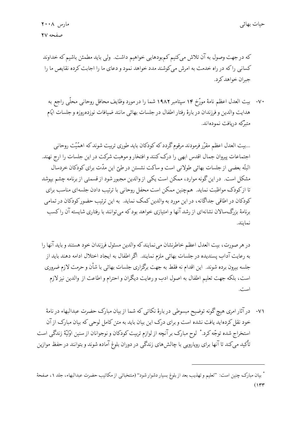كه درجهت وصول به آن تلاش مىكنيم كمبودهايي خواهيم داشت. ولى بايد مطمئن باشيم كه خداوند کسانی راکه در راه خدمت به امرش می کوشند مدد خواهد نمود و دعای ما را اجابت کرده نقایص ما را جبران خواهد كرد.

٧٠- بيت العدل اعظم نامهٔ مورّخ ١٣ سپتامبر ١٩٨٢ شما را در مورد وظايف محافل روحاني محلَّى راجع به هدايت والدين و فرزندان در بارهٔ رفتار اطفال در جلسات بهائي مانند ضيافات نوزدهروزه و جلسات ايّام متبركه دريافت نمودهاند.

...بيت العدل اعظم مقرّر فرمودند مرقوم گردد كه كودكان بايد طوري تربيت شوند كه اهمّيّت روحاني اجتماعات پیروان جمال اقدس ابهی را درک کنند و افتخار و موهبت شرکت در این جلسات را ارج نهند. البتّه بعضي از جلسات بهائي طولاني است وساكت نشستن در طيّ اين مدّت براي كودكان خردسال مشکل است. در این گونه موارد، ممکن است یکی از والدین مجبور شود از قسمتی از برنامه چشم بپوشد تا از کودک مواظبت نماید. همچنین ممکن است محفل روحانی با ترتیب دادن جلسهای مناسب برای کودکان در اطاقی جداگانه، در این مورد به والدین کمک نماید. به این ترتیب حضور کودکان در تمامی برنامهٔ بزرگ سالان نشانهای از رشد آنها و امتیازی خواهد بود که می توانند با رفتاری شایسته آن راکسب نمايند.

در هر صورت، بيت العدل اعظم خاطرنشان مي نمايند كه والدين مسئول فرزندان خود هستند و بايد آنها را به رعایت آداب پسندیده در جلسات بهائی ملزم نمایند. اگر اطفال به ایجاد اختلال ادامه دهند باید از جلسه بیرون برده شوند. این اقدام نه فقط به جهت برگزاری جلسات بهائی با شأن و حرمت لازم ضروری است، بلكه جهت تعليم اطفال به اصول ادب و رعايت ديگران و احترام و اطاعت از والدين نيز لازم است.

٧١- در آثار امری هیچ گونه توضیح مبسوطی در بارهٔ نکاتی که شما از بیان مبارک حضرت عبدالبهاء در نامهٔ خود نقل کردهاید یافت نشده است و برای درک این بیان باید به متن کامل لوحی که بیان مبارک از آن استخراج شده توجّه کرد.\* لوح مبارک بر آنچه از لوازم تربیت کودکان و نوجوانان از سنین اوّلیّهٔ زندگی است تأکید میکند تا آنها برای رویارویی با چالش های زندگی در دوران بلوغ آماده شوند و بتوانند در حفظ موازین

<sup>\*</sup> بیان مبارک چنین است: "تعلیم و تهذیب بعد از بلوغ بسیار دشوار شود" (منتخباتی از مکاتیب حضرت عبدالبهاء، جلد ۱، صفحهٔ  $(144)$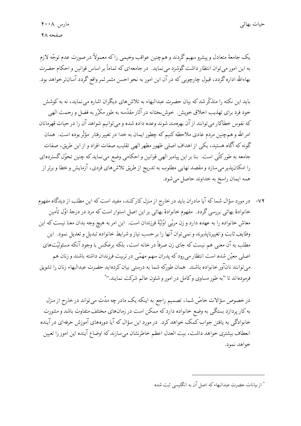يک جامعۀ متعادل و پيشرو سهيم گردند و همچنين عواقب وخيمي راكه معمولاً در صورت عدم توجّه لازم به این امور می توان انتظار داشت گوشزد می نماید. در جامعهای که تماماً بر اساس قوانین و احکام حضرت بهاءالله اداره گردد، قبول چارچوبی که در آن این امور به نحو احسن مثمر ثمر واقع گردد آسانتر خواهد بود.

باید این نکته را متذکّر شدکه بیان حضرت عبدالبهاء به تلاش های دیگران اشاره می نماید، نه به کوشش خود فرد براي تهذيب اخلاق خويش. خوش بختانه در آثار مقدّسه به طور مكرّر به فضل و رحمت الهي که نفوس خطاکار میتوانند از آن بهرهمند شوند وعده داده شده و میتوانیم شواهد آن را در حیات قهرمانان امر الله و همچنین مردم عادی ملاحظه کنیم که چطور ایمان به خدا در تغییر رفتار مؤثّر بوده است. همان گونه که آگاه هستید، یکی از اهداف اصلی ظهور مظهر الهی تقلیب صفات افراد و از این طریق، صفات جامعه به طورکلّی است. بنا بر این پیامبر الهی قوانین و احکامی وضع میٖنماید که چنین تحوّل گستردهای را امکانپذیر میسازد و مقصد نهایی مطلوب به تدریج از طریق تلاش های فردی، آزمایش و خطا و برتر از همه ايمان راسخ به خداوند حاصل مي شود.

٧٢- در مورد سؤال شماكه آيا مادران بايد در خارج از منزل كاركنند، مفيد است كه اين مطلب از ديدگاه مفهوم خانوادهٔ بهائی بررسی گردد. مفهوم خانوادهٔ بهائی بر این اصل استوار است که مرد در درجهٔ اوّل تأمین معاش خانواده را به عهده دارد و زن مربّى اوّليّة فرزندان است. اين امر به هيچ وجه بدان معنا نيست كه اين وظايف ثابت و تغييرناپذيرند و نمي توان آنها را بر حسب نياز و شرايط خانواده تبديل و تعديل نمود. اين مطلب به آن معنی هم نیست که جای زن صرفاً در خانه است، بلکه برعکس با وجود آنکه مسئولیّتهای اصلی معیّن شده است انتظار می رودکه پدران سهم مهمّی در تربیت فرزندان داشته باشند و زنان هم میتوانند نانآور خانواده باشند. همان طورکه شما به درستی بیان کردهاید حضرت عبدالبهاء زنان را تشویق فرمودهاند تا "به طور مساوی وکامل در امور و شئون عالم شرکت نمایند.''\*

در خصوص سؤالات خاصّ شما، تصمیم راجع به اینکه یک مادر چه مدّت میتواند در خارج از منزل به کار پردازد بستگی به وضع خانواده دارد که ممکن است در زمانهای مختلف متفاوت باشد و مشورت خانوادگی به یافتن جواب کمک خواهد کرد. در مورد این سؤال که آیا دورههای آموزش حرفهای در آینده انعطاف بیشتری خواهد داشت، بیت العدل اعظم خاطرنشان میسازند که اوضاع آینده این امور را تعیین خواهد نمود.

<sup>\*</sup> از بیانات حضرت عبدالبهاء که اصل آن به انگلیسی ثبت شده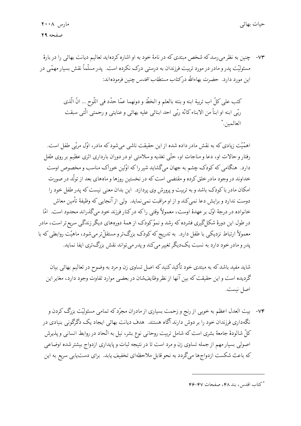۷۳- چنین به نظر می رسد که شخص مبتدی که در نامهٔ خود به او اشاره کردهاید تعالیم دیانت بهائی را در بارهٔ مسئولیّت پدر و مادر در مورد تربیت فرزندان به درستی درک نکرده است. پدر مسلّماً نقش بسیار مهمّی در این مورد دارد. حضرت بهاءالله در*کتاب مستطاب اقدس* چنین فرمودهاند:

> كتب على كلِّ اب تربية ابنه و بنته بالعلم و الخطّ و دونهما عمّا حدّد في اللّوح ... انّ الّذي ربِّي ابنه او ابناً من الابناء كانَّه ربِّي احد ابنائي عليه بهائي و عنايتي و رحمتي الَّتي سبقت العالمين.\*

اهمَّيَّت زيادي كه به نقش مادر داده شده از اين حقيقت ناشي مي شود كه مادر، اوَّل مربِّي طفل است. رفتار و حالات او، دعا و مناجات او، حتّى تغذيه و سلامتى او در دوران باردارى اثرى عظيم بر روى طفل دارد. هنگامی که کودک چشم به جهان میگشاید شیر راکه اوّلین خوراک مناسب و مخصوص اوست خداوند در وجود مادر خلق کرده و مقتضی است که در نخستین روزها و ماههای بعد از تولّد در صورت امکان مادر با کودک باشد و به تربیت و پرورش وی پردازد. این بدان معنی نیست که پدر طفل خود را دوست ندارد و برایش دعا نمی کند و از او مراقبت نمی نماید. ولی از آنجایی که وظیفهٔ تأمین معاش خانواده در درجهٔ اوّل بر عهدهٔ اوست، معمولاً وقتبی راکه درکنار فرزند خود میگذراند محدود است. امّا در طول این دورهٔ شکلگیری فشرده که رشد و نموّکودک از همهٔ دورههای دیگر زندگی سریع تر است، مادر معمولاً ارتباط نزدیکی با طفل دارد. به تدریج که کودک بزرگتر و مستقلّتر می شود، ماهیّت روابطی که با يدر و مادر خود دارد به نسبت يکديگر تغيير مي کند و يدر مي تواند نقش بزرگ تري ايفا نمايد.

شاید مفید باشد که به مبتدی خود تأکید کنید که اصل تساوی زن و مرد به وضوح در تعالیم بهائی بیان گردیده است و این حقیقت که بین آنها از نظر وظایفشان در بعضبی موارد تفاوت وجود دارد، مغایر این اصل نيست.

۷۴- بیت العدل اعظم به خوبی از رنج و زحمت بسیاری از مادران مجرّد که تمامی مسئولیّت بزرگ کردن و نگهداری فرزندان خود را بر دوش دارند آگاه هستند. هدف دیانت بهائی ایجاد یک دگرگونی بنیادی در کلّ شالودهٔ جامعهٔ بشری است که شامل تربیت روحانبی نوع بشر، نیل به اتّحاد در روابط انسانبی و پذیرش اصولی بسیار مهم از جمله تساوی زن و مرد است تا در نتیجه ثبات و پایداری ازدواج بیشتر شده اوضاعی که باعث شکست ازدواجها میگردد به نحو قابل ملاحظهای تخفیف یابد. برای دستیابی سریع به این

<sup>\*</sup> كتاب اقدس، بند ۴۸، صفحات ۴۷–۴۶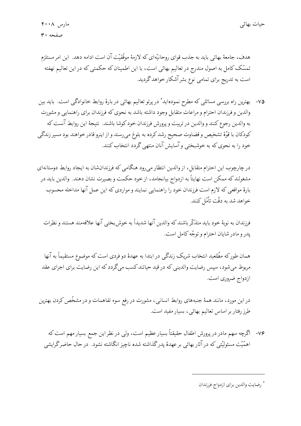هدف، جامعهٔ بهائی باید به جذب قوای روحانیّهای که لازمهٔ موفّقیّت آن است ادامه دهد. این امر مستلزم تمسّک کامل به اصول مندرج در تعالیم بهائی است، با این اطمینان که حکمتی که در این تعالیم نهفته است به تدریج برای تمامی نوع بشر آشکار خواهد گردید.

۷۵- بهترین راه بررسی مسائلی که مطرح نمودهاید ٌ در پرتو تعالیم بهائی در بارهٔ روابط خانوادگی است. باید بین والدین و فرزندان احترام و مراعات متقابل وجود داشته باشد به نحوی که فرزندان برای راهنمایی و مشورت به والدين رجوع كنند و والدين در تربيت و پرورش فرزندان خود كوشا باشند. نتيجهٔ اين روابط آنست كه كودكان با قوّة تشخيص و قضاوت صحيح رشد كرده به بلوغ مي رسند و از اينرو قادر خواهند بود مسير زندگي خود را به نحوی که به خوشبختی و آسایش آنان منتهی گردد انتخاب کنند.

در چارچوب این احترام متقابل، از والدین انتظار می رود هنگامی که فرزندانشان به ایجاد روابط دوستانهای مشغولندکه ممکن است نهایتاً به ازدواج بیانجامد، از خود حکمت و بصیرت نشان دهند. والدین باید در بارهٔ مواقعی که لازم است فرزندان خود را راهنمایی نمایند و مواردی که این عمل آنها مداخله محسوب خواهد شد به دقّت تأمّل کنند.

فرزندان به نوبهٔ خود باید متذکّر باشند که والدین آنها شدیداً به خوش بختبی آنها علاقهمند هستند و نظرات پدر و مادر شایان احترام و توجّه کامل است.

همان طورکه مطّلعید انتخاب شریک زندگی در ابتدا به عهدهٔ دو فردی است که موضوع مستقیماً به آنها مربوط میشود، سپس رضایت والدینی که در قید حیاتند کسب میگردد که این رضایت برای اجرای عقد ازدواج ضروری است.

در این مورد، مانند همهٔ جنبههای روابط انسانی، مشورت در رفع سوء تفاهمات و در مشخّص کردن بهترین طرز رفتار بر اساس تعالیم بهائی، بسیار مفید است.

۷۶- اگرچه سهم مادر در پرورش اطفال حقیقتاً بسیار عظیم است، ولی در نظر این جمع بسیار مهم است که اهمَّيَّت مسئوليَّتي كه در آثار بهائي بر عهدهٔ يدر گذاشته شده ناچيز انگاشته نشود. در حال حاضر گرايشي

<sup>\*</sup> رضايت والدين براي ازدواج فرزندان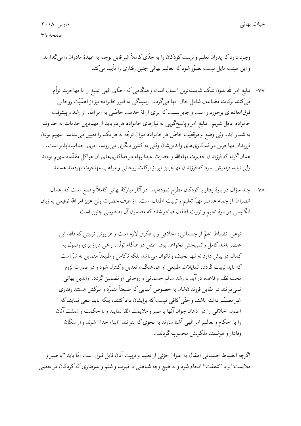وجود دارد كه پدران تعليم و تربيت كودكان را به حدّى كاملاً غير قابل توجيه به عهدهٔ مادران واميگذارند و این هیئت مایل نیست تصوّرشود که تعالیم بهائی چنین رفتاری را تأیید می کند.

- ٧٧- تبليغ امر الله بدون شک شايستهترين اعمال است و هنگامي که احبّاى الهي تبليغ را با مهاجرت توأم میکنند برکات مضاعف شامل حال آنها میگردد. رسیدگی به امور خانواده نیز از اهمّیّت روحانی فوق|لعاده|ی برخوردار است و جایز نیست که برای ارائهٔ خدمت خاصّی به امر الله، از رشد و پیشرفت خانواده غافل شویم. تبلیغ امر و پاسخگویی به نیازهای خانواده هر دو باید از مهمترین خدمات به خداوند به شمارآید، ولی وضع و موقعیّت خاصّ هرخانواده میزان توجّه به هریک را تعیین می نماید. سهیم بودن فرزندان مهاجرین در فداکاریهای والدین شان وقتی به کشور دیگری می روند، امری اجتناب ناپذیر است، همان گونه که فرزندان حضرت بهاءالله و حضرت عبدالبهاء در فداکاريهاي آن هياکل مقدّسه سهيم بودند. ولی نباید فراموش نمود که فرزندان مهاجرین نیز از برکات روحانی و مواهب مهاجرت بهرهمند هستند.
- ۷۸- چند سؤال در بارهٔ رفتار باکودکان مطرح نمودهاید. در آثار مبارکهٔ بهائی کاملاً واضح است که اِعمال انضباط از جمله عناصر مهمّ تعليم و تربيت اطفال است. از طرف حضرت وليّ عزيز امر الله توقيعي به زبان انگلیسی در بارهٔ تعلیم و تربیت اطفال صادر شده که مضمون آن به فارسی چنین است:

نوعی انضباط اعمّ از جسمانی، اخلاقی و یا فکری لازم است و هر روش تربیتی که فاقد این عنصر باشد کامل و ثمربخش نخواهد بود. طفل در هنگام تولّد، راهی دراز برای وصول به كمال در پیش دارد نه تنها نحیف و ناتوان می باشد بلكه ناكامل و طبیعتاً متمایل به شرّ است که باید تربیت گردد، تمایلات طبیعی او هماهنگ، تعدیل وکنترل شود و در صورت لزوم تحت نظم و قاعده در آید تا رشد سالم جسمانی و روحانی او تضمین گردد. والدین بهائی نمی توانند در مقابل فرزندانشان به خصوص آنهایی که طبیعتاً متمرّد و سرکش هستند رفتاری غیر مصمّم داشته باشند و حتّی کافی نیست که برایشان دعاکنند، بلکه باید سعی نمایند که اصول اخلاقي را در اذهان جوان آنها با صبر و ملايمت القا نمايند و با حكمت و شفقت آنان را با احکام و تعالیم امر الهی آشنا سازند به نحوی که بتوانند "ابناء خدا" شوند و از سکّان وفادار و هوشمند ملکوتش محسوب گردند....

اگرچه انضباط جسمانی اطفال به عنوان جزئی از تعلیم و تربیت آنان قابل قبول است امّا باید "با صبر و ملايمت'' و با ''شفقت'' انجام شود و به هيچ وجه شباهتي با ضرب و شتم و بدرفتاري كه كودكان در بعضي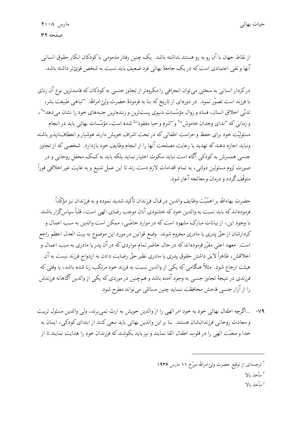از نقاط جهان با آن رو به رو هستند نداشته باشد. یک چنین رفتار مذمومی با کودکان انکار حقوق انسانی ۔<br>آنها و نفی اعتمادی است که در یک جامعهٔ بهائ<sub>ی</sub> فرد ضعیف باید نسبت به شخص قویّتر داشته باشد.

درکردار انسانی به سختی میتوان انحرافی را مکروهتر از تجاوز جنسی به کودکان که فاسدترین نوع آن زنای با فرزند است تصوّر نمود. در دورهای از تاریخ که بنا به فرمودهٔ حضرت ولیّ امرالله: "تباهی طبیعت بشر، تدنّي اخلاق انسان، فساد و زوال مؤسّسات دنيوي پستترين و زنندهترين جنبههاي خود را نشان ميدهد'' ّ، و زمانبی که "ندای وجدان خاموش''أ و "شرم و حیا مفقود'' شده است، مؤسّسات بهائبی باید در انجام مسئوليّت خود براي حفظ وحراست اطفالبي كه در تحت اشراف خويش دارند هوشيار و انعطافناپذير باشند ونباید اجازه دهندکه تهدید یا رعایت مصلحت آنها را از انجام وظایف خود بازدارد. شخصی که از تجاوز جنسی همسرش به کودکی آگاه است نباید سکوت اختیار نماید بلکه باید به کمک محفل روحانی و در صورت لزوم مسئولین دولتی، به تمام اقدامات لازم دست زند تا این عمل شنیع و به غایت غیر اخلاقی فوراً متوقّف گردد و درمان و معالجه آغاز شود.

حضرت بهاءالله بر اهمّيّت وظايف والدين در قبال فرزندان تأكيد شديد نموده و به فرزندان نيز مؤكّداً فرمودهاند که باید نسبت به والدین خود که خشنودی آنان موجب رضای الهی است، قلباً سیاس گزار باشند. با وجود این، از بیانات مبارک مشهود است که در موارد خاصّی، ممکن است والدین به سبب اعمال و كردارشان از حقٌّ پدرى يا مادرى محروم شوند. وضع قوانين در مورد اين موضوع به بيت العدل اعظم راجع است. معهد اعلی مقرّر فرمودهاند که در حال حاضر تمام مواردی که در آن پدر یا مادری به سبب اعمال و اخلاقش، ظاهراً لايق داشتن حقوق پدري يا مادري نظير حقٌّ رضايت دادن به ازدواج فرزند نيست به آن هیئت ارجاع شود. مثلاً هنگامی که یکی از والدین نسبت به فرزند خود مرتکب زنا شده باشد، یا وقتی که فرزندی در نتیجهٔ تجاوز جنسبی به وجود آمده باشد و همچنین در موردی که یکی از والدین آگاهانه فرزندش را از آزار جنسی فاحش محافظت ننماید چنین مسائلی میتواند مطرح شود.

٧٩- …اگرچه اطفال بهائي خود به خود امر الهي را از والدين خويش به ارث نمي برند، ولي والدين مسئول تربيت و سعادت روحاني فرزندانشان هستند. بنا بر اين والدين بهائي بايد سعي كنند از ابتداي كودكي، ايمان به خدا و محبّت الهي را در قلوب اطفال القا نمايند و نيز بايد بكوشند كه فرزندان خود را هدايت نمايند تا از

<sup>†</sup> مأخذ بالا

أ مأخذ ىالا

<sup>\*</sup> ترجمهای از توقیع حضرت ولیّ امرالله مورّخ ۱۱ مارس ۱۹۳۶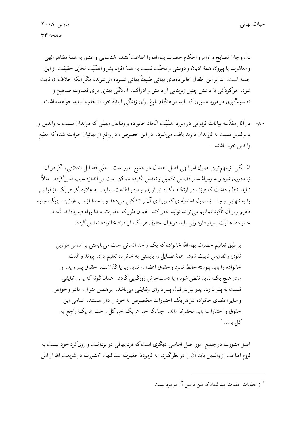دل و جان نصايح و اوامر و احكام حضرت بهاءالله را اطاعت كنند. شناسايي و عشق به همهٔ مظاهر الهي و معاشرت با پیروان همهٔ ادیان و دوستی و محبّت نسبت به همهٔ افراد بشر و اهمّیّت تحرّی حقیقت از این جمله است. بنا بر این اطفال خانوادههای بهائی طبیعتاً بهائی شمرده می شوند، مگر آنکه خلاف آن ثابت شود. هرکودکی با داشتن چنین زیربنایی از دانش و ادراک، آمادگی بهتری برای قضاوت صحیح و تصمیمگیری در مورد مسیری که باید در هنگام بلوغ برای زندگی آیندهٔ خود انتخاب نماید خواهد داشت.

۸۰- در آثار مقدّسه بیانات فراوانی در مورد اهمّیّت اتّحاد خانواده و وظایف مهمّی که فرزندان نسبت به والدین و یا والدین نسبت به فرزندان دارند یافت میشود. در این خصوص، در واقع از بهائیان خواسته شده که مطیع والدين خود باشند....

امّا یکی از مهم ترین اصول امر الهی اصل اعتدال در جمیع امور است. حتّی فضایل اخلاقی، اگر در آن زیادهروی شود و به وسیلهٔ سایر فضایل تکمیل و تعدیل نگردد ممکن است بی|ندازه سبب ضررگردد. مثلاً نباید انتظار داشت که فرزند در ارتکاب گناه نیز از پدر و مادر اطاعت نماید. به علاوه اگر هر یک از قوانین را به تنهایی و جدا از اصول اساسیّهای که زیربنای آن را تشکیل میدهد و یا جدا از سایر قوانین، بزرگ جلوه دهيم و برآن تأكيد نماييم ميتواند توليد خطركند. همان طوركه حضرت عبدالبهاء فرمودهاند اتّحاد خانواده اهمَّيّت بسيار دارد ولي بايد در قبال حقوق هريک از افراد خانواده تعديل گردد:

برطبق تعالیم حضرت بهاءالله خانواده که یک واحد انسانی است می بایستی بر اساس موازین تقوى وتقديس تربيت شود. همهٔ فضايل را بايستى به خانواده تعليم داد. پيوند و الفت خانواده را بايد پيوسته حفظ نمود وحقوق اعضا را نبايد زير پاگذاشت. حقوق پسرو پدر و مادر هیچ یک نباید نقض شود و یا دستخوش زورگویی گردد. همان گونه که پسر وظایفی نسبت به پدر دارد، پدر نیز در قبال پسر دارای وظایفی میباشد. بر همین منوال، مادر و خواهر و سایر اعضای خانواده نیز هر یک اختیارات مخصوص به خود را دارا هستند. تمامی این حقوق و اختیارات باید محفوظ ماند. چنانکه خیر هریک خیرکل راحت هریک راجع به كل باشد.\*

اصل مشورت در جمیع امور اصل اساسی دیگری است که فرد بهائی در برداشت و رویکرد خود نسبت به لزوم اطاعت از والدین باید آن را در نظرگیرد. به فرمودهٔ حضرت عبدالبهاء ''مشورت در شریعت الله از اسّ

<sup>\*</sup> از خطابات حضرت عبدالبهاء که متن فارسی آن موجود نیست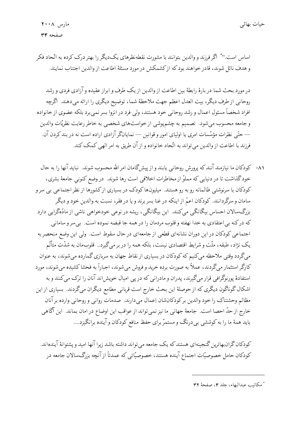اساس است.'' ً اگر فرزند و والدین بتوانند با مشورت نقطهنظرهای یک دیگر را بهتر درک کرده به اتّحاد فکر و هدف نائل شوند، قادر خواهند بود که از کشمکش در مورد مسئلهٔ اطاعت از والدین اجتناب نمایند.

در مورد بحث شما در بارهٔ رابطهٔ بین اطاعت از والدین از یک طرف و ابراز عقیده و آزادی فردی و رشد روحاني از طرف ديگر، بيت العدل اعظم جهت ملاحظهٔ شما، توضيح ديگري را ارائه ميدهند. اگرچه افراد شخصاً مسئول اعمال و رشد روحانی خود هستند، ولی فرد در انزوا بسر نمی برد بلکه عضوی از خانواده و جامعه محسوب می شود. تصمیم به چشم پوشی از خواستهای شخصی به خاطر رعایت نظریّات والدین — حتّى نظرات مؤسَّسات امرى يا اولياى امور و قوانين — نمايانگر آزادى اراده است نه در بند كردن آن. فرزند با اطاعت از والدین می تواند به اتّحاد خانواده و از آن طریق به امر الهی کمک کند.

٨١- كودكان ما نيازمند آنندكه پرورش روحاني يابند و از پيشگامان امر الله محسوب شوند. نبايد آنها را به حال خودگذاشت تا در دنیایی که مملوّ از مخاطرات اخلاقی است رها شوند. در وضع کنونی جامعهٔ بشری، کودکان با سرنوشتی ظالمانه رو به رو هستند. میلیونها کودک در بسیاری ازکشورها از نظر اجتماعی بی سر و سامان و سرگردانند. کودکان اعمّ از اینکه در غنا بسر برند و یا در فقر، نسبت به والدین خود و دیگر بزرگسالان احساس بیگانگی میکنند. این بیگانگی، ریشه در نوعی خودخواهی ناشی از مادّهگرایی دارد که درکنه بی|عتقادی به خدا نهفته و قلوب مردمان را در همه جا قبضه نموده است. بی سرو سامانی اجتماعی کودکان در این دوران نشانهای قطعی از جامعهای در حال سقوط است. ولی این وضع منحصر به یک نژاد، طبقه، ملّت و شرایط اقتصادی نیست، بلکه همه را در بر میگیرد.. قلوبمان به شدّت متألّم میگردد وقتی ملاحظه میکنیم که کودکان در بسیاری از نقاط جهان به سربازی گمارده میشوند، به عنوان کارگر استثمار میگردند، عملاً به صورت برده خرید و فروش میشوند، اجباراً به فحشا کشیده میشوند، مورد استفادهٔ پورنوگرافی قرار میگیرند، پدران و مادرانی که در پی امیال خویش!ند آنان را ترک می کنند و به اشکال گوناگون دیگری که از حوصلهٔ این بحث خارج است قربانی مطامع دیگران میگردند. بسیاری از این مظالم وحشتناك را خود والدين بركودكانشان إعمال مىدارند. صدمات رواني و روحاني وارده برآنان خارج از حدّ احصا است. جامعهٔ جهانی ما نیز نمیتواند از عواقب این اوضاع در امان بماند. این آگاهی باید همهٔ ما را به کوششی بی درنگ و مستمرّ برای حفظ منافع کودکان و آینده برانگیزد….

کودکان گرانبهاترین گنجینهای هستند که یک جامعه می تواند داشته باشد زیرا آنها امید و پشتوانهٔ آیندهاند. کودکان حامل خصوصیّات اجتماع آینده هستند، خصوصیّاتی که عمدتاً از آنچه بزرگ سالان جامعه در

<sup>\*</sup> مكاتب عبدالبهاء، جلد ٤، صفحة ٣٢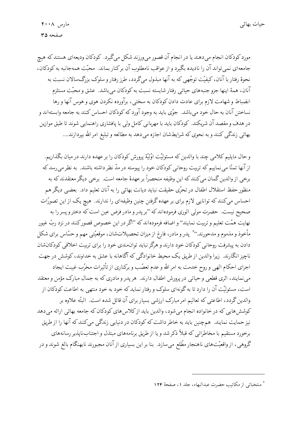مورد کودکان انجام میدهند یا در انجام آن قصور میورزند شکل میگیرد. کودکان ودیعهای هستند که هیچ جامعهاي نمي تواند آن را ناديده بگيرد و از عواقب نامطلوب آن بركنار بماند. محبّت همهجانبه به كودكان، نحوهٔ رفتار با آنان، کیفیّت توجّهی که به آنها مبذول میگردد، طرز رفتار و سلوک بزرگ سالان نسبت به آنان، همهٔ اینها جزو جنبههای حیاتی رفتار شایسته نسبت به کودکان میباشد. عشق و محبّت مستلزم انضباط وشهامت لازم براي عادت دادن كودكان به سختي، برآورده نكردن هوي و هوس آنها و رها نساختن آنان به حال خود مي باشد. جوّى بايد به وجود آورد كه كودكان احساس كنند به جامعه وابستهاند و در هدف و مقصد آن شریکند. کودکان باید با مهربانی کامل ولی با پافشاری راهنمایی شوند تا طبق موازین بهائی زندگی کنند و به نحوی که شرایطشان اجازه میدهد به مطالعه و تبلیغ امر الله بپردازند....

و حال مایلیم کلامی چند با والدین که مسئولیّت اوّلیّهٔ پرورش کودکان را بر عهده دارند در میان بگذاریم. از آنها تمنّا می نماییم که تربیت روحانی کودکان خود را پیوسته در مدّ نظر داشته باشند. به نظر می رسد که برخي از والدين گمان ميكنندكه اين وظيفه منحصراً بر عهدهٔ جامعه است. برخي ديگر معتقدندكه به منظور حفظ استقلال اطفال در تحرّي حقيقت نبايد ديانت بهائي را به آنان تعليم داد. بعضي ديگر هم احساس میکنند که توانایی لازم برای بر عهده گرفتن چنین وظیفهای را ندارند. هیچ یک از این تصورّات صحیح نیست. حضرت مولی الوری فرمودهاند که "بر پدر و مادر فرض عین است که دختر و پسر را به نهایت همّت تعلیم و تربیت نمایند'' و اضافه فرمودهاند که "اگر در این خصوص قصورکنند در نزد ربّ غیور مأخوذ و مذموم و مدحورند.'' ٌ پدر و مادر، فارغ از میزان تحصیلاتشان، موقعیّتی مهم و حسّاس برای شکل دادن به پیشرفت روحانی کودکان خود دارند و هرگز نباید توانهندی خود را برای تربیت اخلاقی کودکانشان ناچیز انگارند. زیرا والدین از طریق یک محیط خانوادگی که آگاهانه با عشق به خداوند، کوشش در جهت اجرای احکام الهی و روح خدمت به امر الله و عدم تعصّب و برکناری از تأثیرات مخرّب غیبت ایجاد می نمایند، اثری قطعی و حیاتی در پرورش اطفال دارند. هر پدر و مادری که به جمال مبارک مؤمن و معتقد است، مسئولیّت آن را دارد تا به گونهای سلوک و رفتار نماید که خود به خود منتهی به اطاعت کودکان از والدین گردد، اطاعتی که تعالیم امر مبارک ارزشی بسیار برای آن قائل شده است. البتّه علاوه بر کوشش هایی که در خانواده انجام میشود، والدین باید ازکلاس های کودکان که جامعه بهائی ارائه میدهد نیز حمایت نمایند. همچنین باید به خاطر داشت که کودکان در دنیایی زندگی میکنند که آنها را از طریق برخورد مستقيم با مخاطراتي كه قبلاً ذكر شد و يا از طريق برنامههاي مبتذل و اجتنابناپذير رسانههاي گروهی، از واقعیّتهای ناهنجار مطّلع میسازد. بنا بر این بسیاری از آنان مجبورند نابهنگام بالغ شوند و در

<sup>\*</sup> منتخباتي از مكاتب حضرت عبدالبهاء، جلد ١، صفحهٔ ١٢٤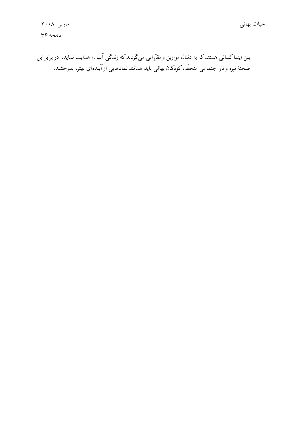بین اینها کسانی هستندکه به دنبال موازین و مقرّراتی میگردندکه زندگی آنها را هدایت نماید. در برابر این صحنهٔ تیره و تار اجتماعی منحطّ، کودکان بهائی باید همانند نمادهایی از آیندهای بهتر، بدرخشند.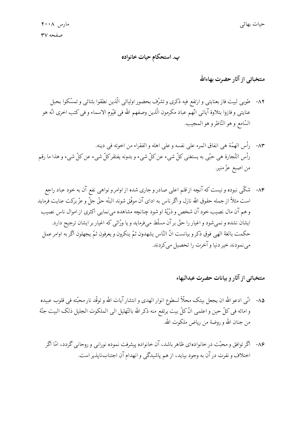پ. استحکام حیات خانواده

# منتخباتی از آثار حضرت بهاءالله

- ٨٢- طوبي لبيت فاز بعنايتي و ارتفع فيه ذكرى و تشرّف بحضور اوليائي الّذين نطقوا بثنائي و تمسّكوا بحبل عنايتي و فازوا بتلاوة آياتي انّهم عباد مكرمون الّذين وصفهم الله في قيّوم الاسماء و في كتب اخرى انّه هو السّامع و هو النّاظرو هو المجيب.
- ٨٣- رأس الهمَّة هي انفاق المرء على نفسه و على اهله و الفقراء من اخوته في دينه. رأس التّجارة هي حبّي به يستغني كلّ شيء عن كلّ شيء و بدونه يفتقركلّ شيء عن كلّ شيء و هذا ما رقم من اصبع عزّ منير.
- ۸۴- شکّی نبوده و نیست که آنچه از قلم اعلی صادر و جاری شده از اوامر و نواهی نفع آن به خود عباد راجع است مثلاً از جمله حقوق الله نازل و اگر ناس به اداي آن موفَّق شوند البتّه حقٌّ جلٌّ و عزٌّ بركت عنايت فرمايد و هم آن مال نصیب خود آن شخص و ذرّیّهٔ او شود چنانچه مشاهده می نمایی اکثری از اموال ناس نصیب ایشان نشده و نمیشود و اغیار را حقّ بر آن مسلّط می فرماید و یا ورّاثی که اغیار بر ایشان ترجیح دارد. حكمت بالغة الهي فوق ذكر و بيانست انّ النّاس يشهدون ثمّ ينكرون و يعرفون ثمّ يجهلون أكر به اوامر عمل می نمودند خبر دنیا و آخرت را تحصیل می کردند.

# منتخباتي از آثار و بيانات حضرت عبدالبهاء

- ٨۵- انّي ادعو الله ان يجعل بيتک محلّأ لسطوع انوار الهدى و انتشار آيات الله و توقّد نار محبّته في قلوب عبيده و امائه في كلِّ حين و اعلمي انَّ كلَّ بيت يرتفع منه ذكر الله بالتَّهليل الي الملكوت الجليل ذلك البيت جنَّة من جنان الله و روضة من رياض ملكوت الله.
	- ۸۶- اگر توافق و محبّت در خانوادهای ظاهر باشد، آن خانواده پیشرفت نموده نورانی و روحانی گردد، امّا اگر اختلاف و نفرت در آن به وجود بیاید، از هم پاشیدگی و انهدام آن اجتنابناپذیر است.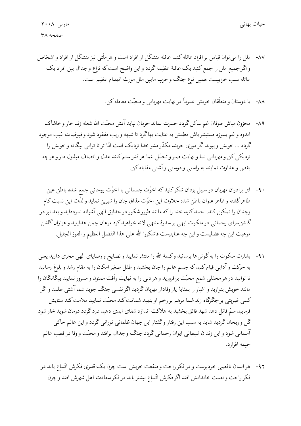- ٨٧- ملل را مي توان قياس بر افراد عائله كنيم عائله متشكّل از افراد است و هر ملّتبي نيز متشكّل از افراد و اشخاص و اگر جميع ملل را جمع كنيد يك عائلة عظيمه گردد و اين واضح است كه نزاع و جدال بين افراد يك عائله سبب خرابيست همين نوع جنگ و حرب مابين ملل مورث انهدام عظيم است.
	- ٨٨- با دوستان و متعلَّقان خويش عموماً در نهايت مهرباني و محبَّت معامله كن.
- ٨٩- محزون مباش طوفان غم ساكن گردد حسرت نماند حرمان نپايد آتش محبّت الله شعله زند خار و خاشاک اندوه و غم بسوزد مستبشر باش مطمئن به عنايت بهاگرد تا شبهه و ريب مفقود شود و فيوضات غيب موجود گردد … خویش و پیوند اگر دوری جویند مکدّر مشو خدا نزدیک است امّا تو تا توانی بیگانه و خویش را نزديكي كن و مهرباني نما و نهايت صبر و تحمّل بنما هر قدر ستم كنند عدل و انصاف مبذول دار و هرچه بغض و عداوت نمايند به راستي و دوستي و آشتي مقابله كن.
- ۹۰ ای برادران مهربان در سبیل یزدان شکرکنیدکه اخوّت جسمانی با اخوّت روحانی جمع شده باطن عین ظاهرگشته و ظاهر عنوان باطن شده حلاوت این اخوّت مذاق جان را شیرین نماید و لذّت این نسبت کام وجدان را نمكين كند. حمد كنيد خدا راكه مانند طيور شكور در حدايق الهي آشيانه نمودهايد و بعد نيز در گلشن سرای رحمانی در ملکوت ابهی بر سدرهٔ منتهی لانه خواهید کرد مرغان چمن هدایتید و هزاران گلشن موهبت اين چه فضليست و اين چه عنايتيست فاشكروا الله على هذا الفضل العظيم و الفوز الجليل.
- ٩١- بشارت ملكوت را به گوش۵ها برسانيد وكلمة الله را منتشر نماييد و نصايح و وصاياى الهي مجرى داريد يعني به حركت و آدابي قيام كنيد كه جسم عالم را جان بخشيد و طفل صغير امكان را به مقام رشد و بلوغ رسانيد تا توانید در هر محفلی شمع محبّت برافروزید و هر دلی را به نهایت رأفت ممنون و مسرور نمایید بیگانگان را مانند خویش بنوازید و اغیار را بمثابهٔ یار وفادار مهربان گردید اگر نفسی جنگ جوید شما آشتی طلبید و اگر کسی ضربتی برجگرگاه زند شما مرهم بر زخم او بنهید شماتت کند محبّت نمایید ملامت کند ستایش فرمایید سمّ قاتل دهد شهد فائق بخشید به هلاکت اندازد شفای ابدی دهید درد گردد درمان شوید خار شود گل و ریحان گردید شاید به سبب این رفتار وگفتار این جهان ظلمانی نورانی گردد و این عالم خاکی آسماني شود و اين زندان شيطاني ايوان رحماني گردد جنگ و جدال برافتد و محبّت و وفا در قطب عالم خىمە افرازد.
- ۹۲- هر انسان ناقصبی خودپرست و در فکر راحت و منفعت خویش است چون یک قدری فکرش اتّساع یابد در فكر راحت و نعمت خاندانش افتد أكر فكرش اتّساع بيشتر يابد در فكر سعادت اهل شهرش افتد و چون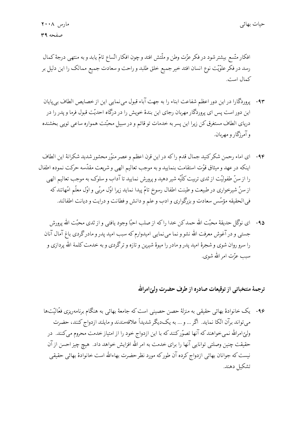افکار متّسع بیشترشود در فکر عزّت وطن و ملّتش افتد و چون افکار اتّساع تامّ یابد و به منتهی درجهٔ کمال رسد در فکر علوّیّت نوع انسان افتد خیر جمیع خلق طلبد و راحت و سعادت جمیع ممالک را این دلیل بر كمال است.

- ۹۳- پروردگارا در این دور اعظم شفاعت ابناء را به جهت آباء قبول می نمایی این از خصایص الطاف بی پایان این دور است پس ای پروردگار مهربان رجای این بندهٔ خویش را در درگاه احدیّت قبول فرما و پدر را در دریای الطاف مستغرق کن زیرا این پسر به خدمات تو قائم و در سبیل محبّتت همواره ساعی تویی بخشنده و آمرزگار و مهربان.
- ۹۴- اي اماء رحمن شكركنيد جمال قدم راكه در اين قرن اعظم و عصر منوّر محشور شديد شكرانهٔ اين الطاف اينكه در عهد و ميثاق قوّت استقامت بنماييد و به موجب تعاليم الهي و شريعت مقدّسه حركت نموده اطفال را از سنّ طفولیّت از ثدی تربیت کلّیّه شیر دهید و پرورش نمایید تا آداب و سلوک به موجب تعالیم الهی از سنّ شیرخواری در طبیعت و طینت اطفال رسوخ تامّ پیدا نماید زیرا اوّل مربّی و اوّل معلّم امّهاتند که في الحقيقه مؤسِّس سعادت و بزرگواري و ادب و علم و دانش و فطانت و درايت و ديانت اطفالند.
	- ۹۵- ای نوگل حدیقهٔ محبّت الله حمدکن خدا راکه از صلب احبّا وجود یافتبی و از ثدی محبّت الله پرورش جستبی و در آغوش معرفت الله نشو و نما می نمایی امیدوارم که سبب امید پدر و مادرگردی باغ آمال آنان را سرو روان شوي و شجرهٔ اميد پدر و مادر را ميوهٔ شيرين و تازه و ترگردي و به خدمت كلمة الله پردازي و سب عزّت امر الله شوي.

### ترجمهٔ منتخباتبي از توقيعات صادره از طرف حضرت وليّ امرالله

۹۶- یک خانوادهٔ بهائی حقیقی به منزلهٔ حصن حصینی است که جامعهٔ بهائی به هنگام برنامهریزی فعّالیّتها می تواند برآن اتّکا نماید. اگر … و … به یکدیگر شدیداً علاقهمندند و مایلند ازدواج کنند، حضرت ولیِّ امرالله نمیخواهند که آنها تصوّرکنند که با این ازدواج خود را از امتیاز خدمت محروم میکنند. در حقیقت چنین وصلتی توانایی آنها را برای خدمت به امر الله افزایش خواهد داد. هیچ چیز احسن از آن نیست که جوانان بهائی ازدواج کرده آن طورکه مورد نظر حضرت بهاءالله است خانوادهٔ بهائی حقیقی تشكيل دهند.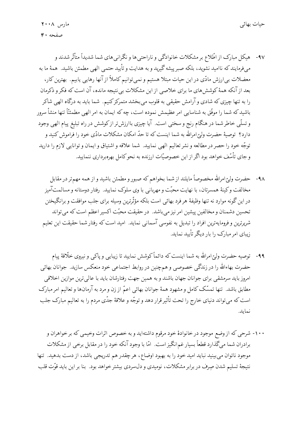- ۹۷- هیکل مبارک از اطّلاع بر مشکلات خانوادگی و ناراحتیها و نگرانیهای شما شدیداً متأثّرشدند و میفرمایندکه ناامید نشوید، بلکه صبر پیشه گیرید و به هدایت و تأیید حتمی الهی مطمئن باشید. همهٔ ما به معضلات بی|رزش مادّی در این حیات مبتلا هستیم و نمی توانیم کاملاً از آنها رهایی یابیم. بهترین کار، بعد از آنکه همهٔ کوشش های ما برای خلاصی از این مشکلات بی نتیجه مانده، آن است که فکر و ذکرمان را به تنها چیزی که شادی و آرامش حقیقی به قلوب میبخشد متمرکز کنیم. شما باید به درگاه الهی شاکر باشید که شما را موفّق به شناسایی امر عظیمش نموده است، چه که ایمان به امر الهی مطمئنّاً تنها منشأ سرور و تسلَّمي خاطرشما در هنگام رنج و سختبي است. آيا چيزي باارزشتر از كوشش در راه تبليغ پيام الهي وجود دارد؟ توصیهٔ حضرت ولیِّ امرالله به شما اینست که تا حدّ امکان مشکلات مادّی خود را فراموش کنید و توجّه خود را حصر در مطالعه و نشر تعالیم الهی نمایید. شما علاقه و اشتیاق و ایمان و توانایی لازم را دارید و جای تأسّف خواهد بود اگر از این خصوصیّات ارزنده به نحوکامل بهرهبرداری ننمایید.
	- ۹۸- حضرت ولیِّ امرالله مخصوصاً مایلند از شما بخواهم که صبور و مطمئن باشید و از همه مهمتر در مقابل مخالفت وکینهٔ همسرتان، با نهایت محبّت و مهربانی با وی سلوک نمایید. رفتار دوستانه و مسالمتآمیز در این گونه موارد نه تنها وظیفهٔ هر فرد بهائی است بلکه مؤثّرترین وسیله برای جلب موافقت و برانگیختن تحسین دشمنان و مخالفین پیشین امر نیز می باشد. در حقیقت محبّت اکسیر اعظم است که می تواند شرپرترین و فرومایهترین افراد را تبدیل به نفوسی آسمانی نماید. امید است که رفتار شما حقیقت این تعلیم زیبای امر مبارک را بار دیگر تأیید نماید.
- ۹۹- توصیه حضرت ولیِّ امرالله به شما اینست که دائماً کوشش نمایید تا زیبایی و پاکی و نیروی خلّاقهٔ پیام حضرت بهاءالله را در زندگی خصوصی و همچنین در روابط اجتماعی خود منعکس سازید. جوانان بهائی امروز باید سرمشقی برای جوانان جهان باشند و به همین جهت رفتارشان باید با عالی ترین موازین اخلاقی مطابق باشد. تنها تمسّك كامل و مشهود همهٔ جوانان بهائی اعمّ از زن و مرد به آرمانها و تعالیم امر مبارک است که میتواند دنیای خارج را تحت تأثیرقرار دهد و توجّه و علاقهٔ جدّی مردم را به تعالیم مبارک جلب نمايد.
- ۱۰۰- شرحی که از وضع موجود در خانوادهٔ خود مرقوم داشتهاید و به خصوص اثرات وخیمی که بر خواهران و برادران شما میگذارد قطعاً بسیار غم۱نگیز است. امّا با وجود آنکه خود را در مقابل برخی از مشکلات موجود ناتوان می بینید نباید امید خود را به بهبود اوضاع، هر چقدر هم تدریجی باشد، از دست بدهید. تنها نتيجهٔ تسليم شدن صِرف در برابر مشكلات، نوميدي و دل سردي بيشتر خواهد بود. بنا بر اين بايد قوّت قلب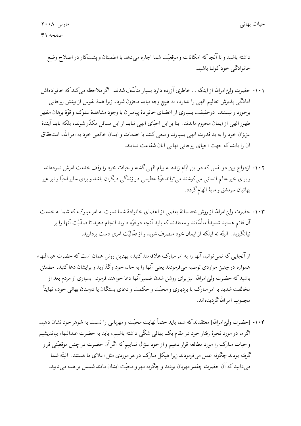داشته باشید و تا آنجا که امکانات و موقعیّت شما اجازه می دهد با اطمینان و پشتکار در اصلاح وضع خانوادگے خود کوشا باشید.

- ۱۰۱- حضرت وليّ امرالله از اينكه ... خاطري آزرده دارد بسيار متأسّف شدند. اگر ملاحظه مي كند كه خانوادهاش آمادگی پذیرش تعالیم الهی را ندارد، به هیچ وجه نباید محزون شود، زیرا همهٔ نفوس از بینش روحانی برخوردار نيستند. درحقيقت بسياري از اعضاي خانوادهٔ پيامبران با وجود مشاهدهٔ سلوک و قوّهٔ برهان مظهر ظهور الهي از ايمان محروم ماندند. بنا بر اين احبّاي الهي نبايد از اين مسائل مكدّرشوند، بلكه بايد آيندهٔ عزیزان خود را به ید قدرت الهی بسپارند و سعی کنند با خدمات و ایمان خالص خود به امر الله، استحقاق آن را يابند كه جهت احياي روحاني نهايي آنان شفاعت نمايند.
- ۱۰۲- ازدواج بین دو نفس که در این ایّام زنده به پیام الهی گشته و حیات خود را وقف خدمت امرش نمودهاند و برای خیر عالم انسانی میکوشند می تواند قوّهٔ عظیمی در زندگی دیگران باشد و برای سایر احبّا و نیز غیر بهائيان سرمشق و مايهٔ الهام گردد.
- ۱۰۳- حضرت ولیّ امرالله از روش خصمانهٔ بعضبی از اعضای خانوادهٔ شما نسبت به امر مبارک که شما به خدمت آن قائم هستید شدیداً متأسّفند و معتقدند که باید آنچه در قوّه دارید انجام دهید تا ضدّیّت آنها را بر نیانگیزید. البتّه نه اینکه از ایمان خود منصرف شوید و از فعّالیّت امری دست بردارید.

از آنجایی که نمی توانید آنها را به امر مبارک علاقهمند کنید، بهترین روش همان است که حضرت عبدالبهاء همواره در چنین مواردی توصیه میفرمودند یعنی آنها را به حال خود واگذارید و برایشان دعا کنید. مطمئن باشید که حضرت ولیّ امرالله نیز برای روشن شدن ضمیر آنها دعا خواهند فرمود. بسیاری از مردم بعد از مخالفت شدید با امر مبارک با بردباری و محبّت و حکمت و دعای بستگان یا دوستان بهائی خود، نهایتاً مجذوب امر الله گردیدهاند.

۱۰۴- [حضرت وليِّ امرالله] معتقدند كه شما بايد حتماً نهايت محبّت و مهرباني را نسبت به شوهر خود نشان دهيد. آگر ما در مورد نحوهٔ رفتار خود در مقام یک بهائی شکّی داشته باشیم، باید به حضرت عبدالبهاء بیاندیشیم و حیات مبارک را مورد مطالعه قرار دهیم و از خود سؤال نماییم که اگر آن حضرت در چنین موقعیّتی قرار گرفته بودند چگونه عمل می فرمودند زیرا هیکل مبارک در هر موردی مثل اعلای ما هستند. البتّه شما می دانید که آن حضرت چقدر مهربان بودند و چگونه مهر و محبّت ایشان مانند شمس بر همه می تابید.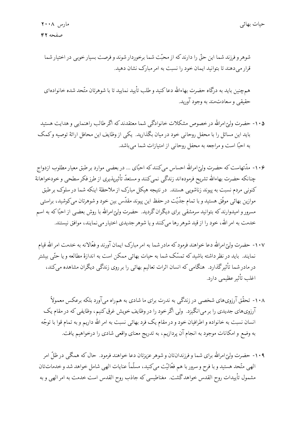همچنین باید به درگاه حضرت بهاءالله دعاکنید و طلب تأیید نمایید تا با شوهرتان متّحد شده خانوادهای حقيقي وسعادتمند به وجود آوريد.

- ۱۰۵- حضرت وليّ امرالله در خصوص مشكلات خانوادگي شما معتقدند كه اگر طالب راهنمايي و هدايت هستيد بايد اين مسائل را با محفل روحاني خود در ميان بگذاريد. يكي از وظايف اين محافل ارائة توصيه وكمك به احبًّا است و مراجعه به محفل روحانی از امتیازات شما می باشد.
- ۱۰۶- مدّتهاست که حضرت ولیّ(مرالله احساس میکنندکه احبّای … در بعضبی موارد بر طبق معیار مطلوب ازدواج چنانکه حضرت بهاءالله تشريح فرمودهاند زندگمي نمي کنند و مستعدّ تأثيرپذيرى از طرز فکر سطحي و خودخواهانهٔ کنونی مردم نسبت به پیوند زناشویی هستند. در نتیجه هیکل مبارک از ملاحظهٔ اینکه شما در سلوک بر طبق موازین بهائی موفّق هستید و با تمام جدّیّت در حفظ این پیوند مقدّس بین خود و شوهرتان می کوشید، براستی مسرور و امیدوارند که بتوانید سرمشقی برای دیگران گردید. حضرت ولیّ امرالله با روش بعضبی از احبّاکه به اسم خدمت به امر الله، خود را از قید شوهر رها می کنند و یا شوهر جدیدی اختیار می نمایند، موافق نیستند.
- ۱۰۷- حضرت وليّ امرالله دعا خواهند فرمودكه مادر شما به امر مبارك ايمان آورند و فعّالانه به خدمت امر الله قيام نمایند. باید در نظر داشته باشید که تمسّک شما به حیات بهائی ممکن است به اندازهٔ مطالعه و یا حتّی بیشتر در مادر شما تأثیرگذارد. هنگامی که انسان اثرات تعالیم بهائی را بر روی زندگی دیگران مشاهده میکند، اغلب تأثير عظيمي دارد.

۱۰۸- تحقّق آرزویهای شخصی در زندگی به ندرت برای ما شادی به همراه میآورد بلکه برعکس معمولاً آرزوی،های جدیدی را بر می|نگیزد. ولی اگر خود را در وظایف خویش غرق کنیم، وظایفی که در مقام یک انسان نسبت به خانواده و اطرافیان خود و در مقام یک فرد بهائی نسبت به امر الله داریم و به تمام قوا با توجّه به وضع و امکانات موجود به انجام آن پردازیم، به تدریج معنای واقعی شادی را درخواهیم یافت.

۱۰۹- حضرت ولیّ امرالله برای شما و فرزندانتان و شوهر عزیزتان دعا خواهند فرمود. حال که همگی در ظلّ امر الهي متّحد هستيد و با فرح و سرور با هم فعّاليّت ميكنيد، مسلّماً عنايات الهي شامل خواهد شد و خدماتتان مشمول تأييدات روح القدس خواهدگشت. مغناطيسي كه جاذب روح القدس است خدمت به امر الهي و به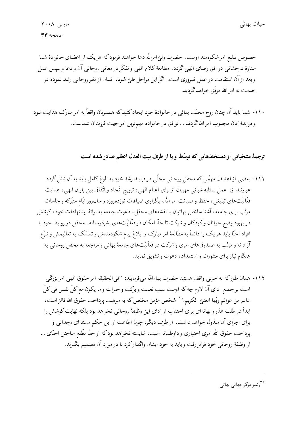خصوص تبلیغ امرشکوهمند اوست. حضرت ولیّ امرالله دعا خواهند فرمود که هر یک از اعضای خانوادهٔ شما ستارهٔ درخشانی در افق رضای الهی گردد. مطالعهٔ کلام الهی و تفکّر در معانی روحانی آن و دعا و سپس عمل و بعد از آن استقامت در عمل ضروری است. اگر این مراحل طیّ شود، انسان از نظر روحانی رشد نموده در خدمت به امر الله موفّق خواهد گردید.

۱۱۰- شما باید آن چنان روح محبّت بهائی در خانوادهٔ خود ایجاد کنید که همسرتان واقعاً به امر مبارک هدایت شود و فرزندانتان مجذوب امر الله گردند … توافق در خانواده مهم ترین امر جهت فرزندان شماست.

#### ترجمهٔ منتخباتی از دستخطهایی که توسّط و یا از طرف بیت العدل اعظم صادر شده است

- ۱۱۱- بعضی از اهداف مهمّی که محفل روحانی محلّی در فرایند رشد خود به بلوغ کامل باید به آن نائل گردد عبارتند از: عمل بمثابه شبانی مهربان از برای اغنام الهی، ترویج اتّحاد و اتّفاق بین یاران الهی، هدایت فعّالیّتهای تبلیغی، حفظ و صیانت امر الله، برگزاری ضیافات نوزدهروزه و سال روز ایّام متبّرکه و جلسات مرتّب برای جامعه، آشنا ساختن بهائیان با نقشههای محفل، دعوت جامعه به ارائهٔ پیشنهادات خود، کوشش در بهبود وضع جوانان وكودكان و شركت تا حدّ امكان در فعّاليّتهاى بشردوستانه. محفل در روابط خود با افراد احبّا باید هر یک را دائماً به مطالعهٔ امر مبارک و ابلاغ پیام شکوهمندش و تمسّک به تعالیمش و تبرّع آزادانه و مرتّب به صندوقهای امری و شرکت در فعاّلیّتهای جامعهٔ بهائی و مراجعه به محفل روحانی به هنگام نیاز برای مشورت و استمداد، دعوت و تشویق نماید.
	- ١١٢- همان طوركه به خوبي واقف هستيد حضرت بهاءالله ميفرمايند: "في|لحقيقه امر حقوق الهي امر بزرگي است برجميع اداي آن لازم چه كه اوست سبب نعمت و بركت و خيرات و ما يكون مع كلِّ نفس في كلِّ عالم من عوالم ربِّها الغنيّ الكريم.'' ٌ شخص مؤمن مخلص كه به موهبت پرداخت حقوق الله فائز است، ابداً در طلب عذر و بهانهاي براي اجتناب از اداي اين وظيفهٔ روحاني نخواهد بود بلكه نهايت كوشش را برای اجرای آن مبذول خواهد داشت. از طرف دیگر، چون اطاعت از این حکم مسئلهای وجدانی و پرداخت حقوق الله امری اختیاری و داوطلبانه است، شایسته نخواهد بود که از حدّ مطّلع ساختن احبّای … از وظيفهٔ روحاني خود فراتر رفت و بايد به خود ايشان واگذاركرد تا در مورد آن تصميم بگيرند.

\* آرشیو مرکز جهانی بهائی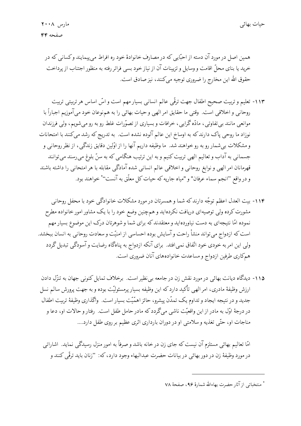همین اصل در مورد آن دسته از احبّایی که در مصارف خانوادهٔ خود ره افراط می پیمایند و کسانی که در خرید یا بنای محلّ اقامت و وسایل و تزیینات آن از نیاز خود بسی فراتر رفته به منظور اجتناب از پرداخت حقوق الله این مخارج را ضروری توجیه میکنند، نیز صادق است.

- ۱۱۳- تعلیم و تربیت صحیح اطفال جهت ترقّی عالم انسانی بسیار مهم است و اسّ اساس هر تربیتی تربیت روحاني و اخلاقي است. وقتي ما حقايق امر الهي و حيات بهائي را به هم نوعان خود ميآموزيم اجباراً با موانعی مانند بی تفاوتی، مادّه گرایی، خرافات و بسیاری از تصوّرات غلط رو به رو میشویم، ولی فرزندان نوزاد ما روحی پاک دارند که به اوساخ این عالم آلوده نشده است. به تدریج که رشد میکنند با امتحانات و مشکلات بی شمار رو به رو خواهند شد. ما وظیفه داریم آنها را از اوّلین دقایق زندگی، از نظر روحانی و جسمانی به آداب و تعالیم الهی تربیت کنیم و به این ترتیب هنگامی که به سنّ بلوغ میرسند میتوانند قهرمانان امر الهي و نوابغ روحاني و اخلاقي عالم انساني شده آمادگي مقابله با هر امتحاني را داشته باشند و در واقع ''انجم سماء عرفان'' و "میاه جاریه که حیات کل معلّق به آنست'' ُ خواهند بود.
- ۱۱۴- بیت العدل اعظم توجّه دارند که شما و همسرتان در مورد مشکلات خانوادگی خود با محفل روحانی مشورت کرده ولی توصیهای دریافت نکردهاید و همچنین وضع خود را با یک مشاور امور خانواده مطرح نموده امّا نتیجهای به دست نیاوردهاید و معتقدندکه برای شما و شوهرتان درک این موضوع بسیار مهم است که ازدواج می تواند منشأ راحت و آسایش بوده احساسی از امنیّت و سعادت روحانی به انسان ببخشد. ولی این امر به خودی خود اتّفاق نمی|فتد. برای آنکه ازدواج به پناهگاه رضایت و آسودگی تبدیل گردد همكاري طرفين ازدواج و مساعدت خانوادههاي آنان ضروري است.
- ۱۱۵- دیدگاه دیانت بهائی در مورد نقش زن در جامعه بی نظیر است. برخلاف تمایل کنونی جهان به تنزّل دادن ارزش وظیفهٔ مادری، امر الهی تأکید دارد که این وظیفه بسیار پرمسئولیّت بوده و به جهت پرورش سالم نسل جدید و در نتیجه ایجاد و تداوم یک تمدّن پیشرو، حائز اهمّیّت بسیار است. واگذاری وظیفهٔ تربیت اطفال در درجهٔ اوّل به مادر از این واقعیّت ناشی میگردد که مادر حامل طفل است. رفتار و حالات او، دعا و مناجات او، حتّى تغذيه و سلامتي او در دوران بارداري اثري عظيم بر روى طفل دارد....

امّا تعالیم بهائی مستلزم آن نیست که جای زن در خانه باشد و صرفاً به امور منزل رسیدگی نماید. اشاراتی در مورد وظيفهٔ زن در دور بهائي در بيانات حضرت عبدالبهاء وجود دارد، كه: "زنان بايد ترقَّى كنند و

<sup>\*</sup> منتخباتي از آثار حضرت بهاءالله شمارهٔ ۹۶، صفحهٔ ۷۸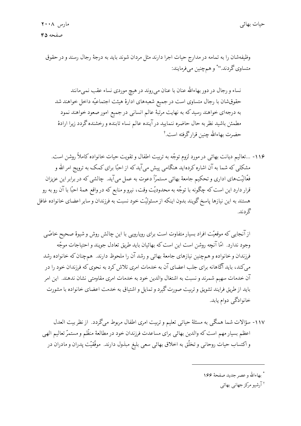وظيفهشان را به تمامه در مدارج حيات اجرا دارند مثل مردان شوند بايد به درجهٔ رجال رسند و در حقوق متساوي گردند.''\* و همچنین مي فرمايند:

نساء و رجال در دور بهاءالله عنان با عنان می روند در هیچ موردی نساء عقب نمی.انند حقوق شان با رجال متساوى است در جميع شعبههاى ادارهٔ هيئت اجتماعيّه داخل خواهند شد به درجهای خواهند رسید که به نهایت مرتبهٔ عالم انسانی در جمیع امور صعود خواهند نمود مطمئن باشيد نظر به حال حاضره ننماييد درآينده عالم نساء تابنده و رخشنده گردد زيرا ارادهٔ حضرت بهاءالله چنین قرارگرفته است.†

۱۱۶- ...تعاليم ديانت بهائي در مورد لزوم توجّه به تربيت اطفال و تقويت حيات خانواده كاملاً روشن است. مشکلی که شما به آن اشاره کردهاید هنگامی پیش میآید که از احبّا برای کمک به ترویج امر الله و فعّالیّتهای اداری و تحکیم جامعهٔ بهائی مستمرّاً دعوت به عمل میآید. چالشی که در برابر این عزیزان قرار دارد این است که چگونه با توجّه به محدودیّت وقت، نیرو و منابع که در واقع همهٔ احبّا با آن رو به رو هستند به این نیازها پاسخ گویند بدون اینکه از مسئولیّت خود نسبت به فرزندان و سایر اعضای خانواده غافل گردند.

از آنجایی که موقعیّت افراد بسیار متفاوت است برای رویارویی با این چالش روش و شیوهٔ صحیح خاصّی وجود ندارد. امّا آنچه روشن است این است که بهائیان باید طریق تعادل جویند و احتیاجات موجّه فرزندان و خانواده و همچنین نیازهای جامعهٔ بهائی و رشد آن را ملحوظ دارند. همچنان که خانواده رشد میکند، باید آگاهانه برای جلب اعضای آن به خدمات امری تلاش کرد به نحوی که فرزندان خود را در آن خدمات سهیم شمرند و نسبت به اشتغال والدین خود به خدمات امری مقاومتی نشان ندهند. این امر باید از طریق فرایند تشویق و تربیت صورت گیرد و تمایل و اشتیاق به خدمت اعضای خانواده با مشورت خانوادگي دوام يابد.

۱۱۷- سؤالات شما همگی به مسئلهٔ حیاتی تعلیم و تربیت امری اطفال مربوط میگردد. از نظر بیت العدل اعظم بسیار مهم است که والدین بهائی برای مساعدت فرزندان خود در مطالعهٔ منظّم و مستمرّ تعالیم الهی و اكتساب حيات روحاني و تخلُّق به اخلاق بهائي سعي بليغ مبذول دارند. موفَّقيَّت پدران و مادران در

أ بهاءالله و عصر جديد صفحهٔ ۱۶۶

† آرشیو مرکز جهانبی بهائبی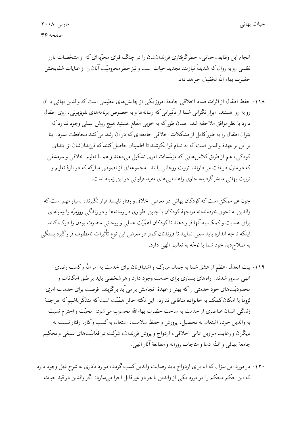انجام این وظایف حیاتی، خطرگرفتاری فرزندانشان را در چنگ قوای مخرّبهای که از مشخّصات بارز نظمی رو به زوال که شدیداً نیازمند تجدید حیات است و نیز خطر محرومیّت آنان را از عنایات شفابخش حضرت بهاء الله تخفيف خواهد داد.

١١٨- حفظ اطفال از اثرات فساد اخلاقي جامعهٔ امروز يكي از چالش هاي عظيمي است كه والدين بهائي با آن رو به رو هستند. ابراز نگرانی شما از تأثیراتی که رسانهها و به خصوص برنامههای تلویزیونی، روی اطفال دارد با نظر موافق ملاحظه شد. همان طورکه به خوبی مطّلع هستید هیچ روش عملی وجود ندارد که بتوان اطفال را به طورکامل از مشکلات اخلاقی جامعهای که در آن رشد می کنند محافظت نمود. بنا بر این بر عهدهٔ والدین است که به تمام قوا بکوشند تا اطمینان حاصل کنند که فرزندانشان از ابتدای کودکی، هم از طریق کلاس۵هایی که مؤسّسات امری تشکیل میدهند و هم با تعلیم اخلاقی و سرمشقی که در منزل دریافت میدارند، تربیت روحانی یابند. مجموعهای از نصوص مبارکه که در بارهٔ تعلیم و تربیت بهائی منتشرگردیده حاوی راهنمایی های مفید فراوانی در این زمینه است.

چون غیر ممکن است که کودکان بهائی در معرض اخلاق و رفتار ناپسند قرار نگیرند، بسیار مهم است که والدین به نحوی خردمندانه مواجههٔ کودکان با چنین اطواری در رسانهها و در زندگی روزمرّه را وسیلهای برای هدایت و کمک به آنها قرار دهند تاکودکان اهمّیّت عملی و روحانی متفاوت بودن را درک کنند. اینکه تا چه اندازه باید سعی نمایید تا فرزندتان کمتر در معرض این نوع تأثیرات نامطلوب قرارگیرد بستگی به صلاحديد خود شما با توجّه به تعاليم الهي دارد.

۱۱۹- بیت العدل اعظم از عشق شما به جمال مبارک و اشتیاقتان برای خدمت به امر الله وکسب رضای الهي مسرور شدند. راههاي بسياري براي خدمت وجود دارد و هر شخصي بايد بر طبق امكانات و محدودیّتهای خود خدمتی راکه بهتر از عهدهٔ انجامش بر میآید برگزیند. فرصت برای خدمات امری لزوماً با امکان کمک به خانواده منافاتی ندارد. این نکته حائز اهمّیّت است که متذکّر باشیم که هر جنبهٔ زندگی انسان عناصری از خدمت به ساحت حضرت بهاءالله محسوب می شود: محبّت و احترام نسبت به والدين خود، اشتغال به تحصيل، پرورش و حفظ سلامت، اشتغال به كسب وكار، رفتار نسبت به دیگران و رعایت موازین عالی اخلاقی، ازدواج و پروش فرزندان، شرکت در فعّالیّتهای تبلیغی و تحکیم جامعهٔ بهائی و البتّه دعا و مناجات روزانه و مطالعهٔ آثار الهی.

۱۲۰- در مورد این سؤال که آیا برای ازدواج باید رضایت والدین کسب گردد، موارد نادری به شرح ذیل وجود دارد كه اين حكم محكم را در مورد يكي از والدين يا هر دو غير قابل اجرا ميسازد: أكر والدين در قيد حيات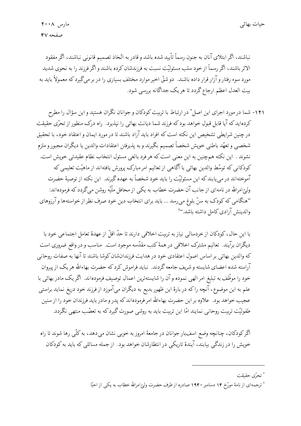نباشند، اگر ابتلای آنان به جنون رسماً تأیید شده باشد و قادر به اتّخاذ تصمیم قانونی نباشند، اگر مفقود الاثر باشند، اگر رسماً از خود سلب مسئولیّت نسبت به فرزندشان کرده باشند و اگر فرزند را به نحوی شدید مورد سوء رفتار و آزار قرار داده باشند. دو شقّ اخیر موارد مختلف بسیاری را در بر میگیرد که معمولاً باید به بیت العدل اعظم ارجاع گردد تا هر یک جداگانه بررسی شود.

۱۲۱- شما در مورد اجرای این اصل ٌ در ارتباط با تربیت کودکان و جوانان نگران هستید و این سؤال را مطرح کردهاید که آیا قابل قبول خواهد بود که فرزند شما دیانت بهائی را نپذیرد. راه درک منظور از تحرّی حقیقت در چنین شرایطی تشخیص این نکته است که افراد باید آزاد باشند تا در مورد ایمان و اعتقاد خود، با تحقیق شخصي و تعهّد باطني خويش شخصاً تصميم بگيرند و به پذيرفتن اعتقادات والدين يا ديگران مجبور و ملزم نشوند . این نکته همچنین به این معنی است که هر فرد بالغی مسئول انتخاب نظام عقیدتی خویش است. کودکانی که توسّط والدین بهائی با آگاهی از تعالیم امر مبارک پرورش یافتهاند از ماهیّت تعلیمی که آموختهاند در میtبابند که این مسئولیّت را باید خود شخصاً به عهده گیرند. این نکته از توصیهٔ حضرت ولیِّ امرالله در نامهای از جانب آن حضرت خطاب به یکی از محافل ملّیّه روشن میگردد که فرمودهاند: "هنگامی که کودک به سنّ بلوغ می رسد … باید برای انتخاب دین خود صرف نظر از خواستهها و آرزوهای والدينش آزادي كامل داشته باشد."أ

با این حال، کودکان از خردسالی نیاز به تربیت اخلاقی دارند تا حدّ اقلّ از عهدهٔ تعامل اجتماعی خود با دیگران برآیند. تعالیم مشترک اخلاقی در همهٔ کتب مقدّسه موجود است. مناسب و در واقع ضروری است كه والدين بهائي بر اساس اصول اعتقادي خود در هدايت فرزندانشان كوشا باشند تا آنها به صفات روحاني آراسته شده اعضاي شايسته و شريف جامعه گردند. نبايد فراموش كرد كه حضرت بهاءالله هر يک از پيروان خود را موظّف به تبلیغ امر الهی نموده و آن را شایستهترین اعمال توصیف فرمودهاند. اگر یک مادر بهائی با علم به این موضوع، آنچه راکه در بارهٔ این ظهور بدیع به دیگران میآموزد از فرزند خود دریغ نماید براستی عجیب خواهد بود. علاوه بر این حضرت بهاءالله امر فرمودهاندکه پدر و مادر باید فرزندان خود را از سنین طفولیّت تربیت روحانی نمایند امّا این تربیت باید به روشی صورت گیرد که به تعصّب منتهی نگردد.

اگرکودکان، چنانچه وضع اسفبار جوانان در جامعهٔ امروز به خوبی نشان میدهد، به کلّی رها شوند تا راه خویش را در زندگی بیابند، آیندهٔ تاریکی در انتظارشان خواهد بود. از جمله مسائلی که باید به کودکان

\* تحرّى حقيقت

<sup>&</sup>lt;sup>†</sup> ترجمهای از نامهٔ مورّخ ۱۴ دسامبر ۱۹۴۰ صادره از طرف حضرت ولیّ امرالله خطاب به یکی از احبّا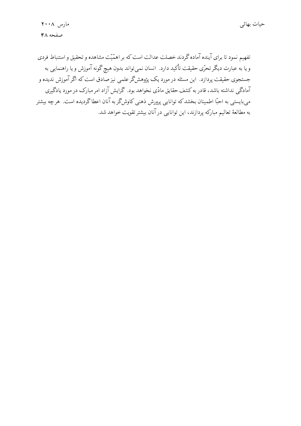تفهیم نمود تا برای آینده آماده گردند خصلت عدالت است که بر اهمّیّت مشاهده و تحقیق و استنباط فردی و یا به عبارت دیگر تحرّی حقیقت تأکید دارد. انسان نمی تواند بدون هیچ گونه آموزش و یا راهنمایی به جستجوی حقیقت پردازد. این مسئله در مورد یک پژوهشگر علمی نیز صادق است که اگر آموزش ندیده و آمادگی نداشته باشد، قادر به کشف حقایق مادّی نخواهد بود. گرایش آزاد امر مبارک در مورد یادگیری میبایستی به احبّا اطمینان بخشدکه توانایی پرورش ذهنی کاوشگر به آنان اعطاگردیده است. هرچه بیشتر به مطالعهٔ تعالیم مبارکه پردازند، این توانایی در آنان بیشتر تقویت خواهد شد.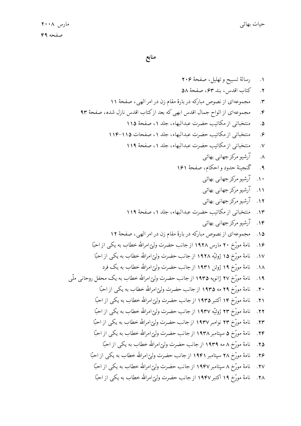منابع

1.   
1. 
$$
u^2 + 9
$$
 و تهایی، بنا ۴۳۰ مفحهٔ ۸۸  
۲.  $2du^2 + 9du^2 + 9du^2 + 9du^2 + 9du^2 + 9du^2 + 9du^2 + 9du^2 + 9du^2 + 9du^2 + 9du^2 + 9du^2 + 9du^2 + 9du^2 + 9du^2 + 9du^2 + 9du^2 + 9du^2 + 9du^2 + 9du^2 + 9du^2 + 9du^2 + 9du^2 + 9du^2 + 9du^2 + 9du^2 + 9du^2 + 9du^2 + 9du^2 + 9du^2 + 9du^2 + 9du^2 + 9du^2 + 9du^2 + 9du^2 + 9du^2 + 9du^2 + 9du^2 + 9du^2 + 9du^2 + 9du^2 + 9du^2 + 9du^2 + 9du^2 + 9du^2 + 9du^2 + 9du^2 + 9du^2 + 9du^2 + 9du^2 + 9du^2 + 9du^2 + 9du^2 + 9du^2 + 9du^2 + 9du^2 + 9du^2 + 9du^2 + 9du^2 + 9du^2 + 9du^2 + 9du^2 + 9du^2 + 9du^2 + 9du^2 + 9du^2 + 9du^2 + 9du^2 + 9du^2 + 9du^2 + 9du^2 + 9du^2 + 9du^2 + 9du^2 + 9du^2 + 9du^2 + 9du^2 + 9du^2 + 9du^2 + 9du^2 + 9du^2 + 9du^2 + 9du^2 + 9du^2 + 9du^2 + 9du^2 + 9du^2 + 9du^2 + 9du^2 + 9du^2 + 9du^2 + 9du^2 + 9du^2 + 9du^2 + 9du^2 + 9du^2 + 9du^2 + 9du^2 + 9du^2 + 9du^2 + 9du^2 + 9du^2 + 9du^2 + 9du^2 + 9du^2 + 9du^2 + 9du^2 + 9du^2 + 9du^2 + 9du^2 + 9du^2 + 9du^2 + 9du^2 + 9du^2 + 9du^2 + 9du^2 + 9du^2 + 9du^2 + 9du^2$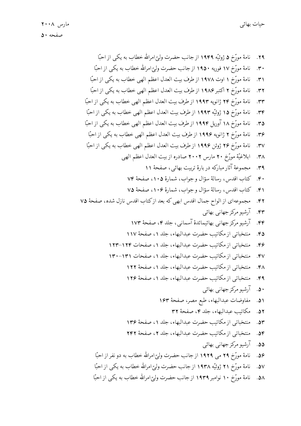نامهٔ مورّخ ۵ ژوئیّه ۱۹۴۹ از جانب حضرت ولیّ امرالله خطاب به یکی از احبّا  $.79$ نامهٔ مورِّخ ۱۷ فوریه ۱۹۵۰ از جانب حضرت ولیّ امرالله خطاب به یکی از احبّا  $\cdot$   $\cdot$ نامهٔ مورّخ ۱ اوت ۱۹۷۸ از طرف بیت العدل اعظم الهی خطاب به یکی از احبّا  $.5^{\circ}$ نامهٔ مورّخ ۲ اکتبر ۱۹۸۶ از طرف بیت العدل اعظم الهی خطاب به یکی از احبّا  $.77$ نامهٔ مورّخ ۲۴ ژانویه ۱۹۹۳ از طرف بیت العدل اعظم الهی خطاب به یکی از احبّا  $.77$ نامهٔ مورِّخ ۱۵ ژوئیّه ۱۹۹۳ از طرف بیت العدل اعظم الهی خطاب به یکی از احبّا  $.79$ نامهٔ مورّخ ۱۸ آوریل ۱۹۹۴ از طرف بیت العدل اعظم الهی خطاب به یکی از احبّا  $.50$ نامهٔ مورّخ ۲ ژانویه ۱۹۹۶ از طرف بیت العدل اعظم الهی خطاب به یکی از احبّا ۳۶. نامهٔ مورّخ ۲۶ ژوئن ۱۹۹۶ از طرف بیت العدل اعظم الهی خطاب به یکی از احبّا  $\cdot$ ۳۷ ابلاغيَّة مورِّخ ٢٠ مارس ٢٠٠٢ صادره از بيت العدل اعظم الهي  $\cdot$ ۳۸ مجموعهٔ آثار مبارکه در بارهٔ تربیت بهائی، صفحهٔ ۱۱  $.79$ ۴۰. كتاب اقدس، رسالة سؤال وجواب، شمارة ۰۱۰۵، صفحة ۷۴ ۴۱. كتاب اقدس، رسالهٔ سؤال وجواب، شمارهٔ ۱۰۶، صفحهٔ ۷۵ مجموعهاى از الواح جمال اقدس ابهى كه بعد ازكتاب اقدس نازل شده، صفحة ٧٥  $.57$ آرشیو مرکز جهانی بهائی  $.54$ آرشیو مرکز جهانبی بهائیمائدهٔ آسمانبی، جلد ۴، صفحهٔ ۱۷۳  $.$  $\epsilon$ منتخباتي از مكاتيب حضرت عبدالبهاء، جلد ١، صفحة ١١٧  $.68$ منتخباتي ازمكاتيب حضرت عبدالبهاء، جلد ١، صفحات ١٢۴–١٢٣ ۶۶. منتخباتی از مکاتیب حضرت عبدالبهاء، جلد ۱، صفحات ۱۳۱–۱۳۰  $.6v$ منتخباتي از مكاتيب حضرت عبدالبهاء، جلد ١، صفحة ١٢٢  $.64$ منتخباتي از مكاتيب حضرت عبدالبهاء، جلد ١، صفحة ١٢۶  $.69$ ۵۰. آرشیو مرکز جهانی بهائی مفاوضات عبدالبهاء، طبع مصر، صفحة ١۶٣  $.01$ مكاتب عبدالبهاء، جلد ٤، صفحة ٣٢  $.87$ منتخباتی از مکاتیب حضرت عبدالبهاء، جلد ۱، صفحهٔ ۱۳۶  $.84$ منتخباتي ازمكاتيب حضرت عبدالبهاء، جلد ٢، صفحهٔ ٢٤٢  $.88$ ۵۵. آرشیو مرکز جهانبی بهائی نامهٔ مورّخ ۲۹ می ۱۹۲۹ از جانب حضرت ولیّ امرالله خطاب به دو نفر از احبّا ۵۶. نامهٔ مورّخ ۲۱ ژوئیّه ۱۹۳۸ از جانب حضرت ولیّ امرالله خطاب به یکی از احبّا  $.8V$ نامهٔ مورّخ ۱۰ نوامبر ۱۹۳۹ از جانب حضرت ولیّ امرالله خطاب به یکی از احبّا  $.8<sub>A</sub>$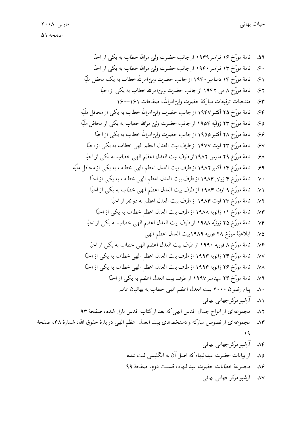- ۸۶. مجموعهٔ خطابات حضرت عبدالبهاء، قسمت دوم، صفحهٔ ۹۹
	- ۸۷. آرشیو مرکز جهانی بهائی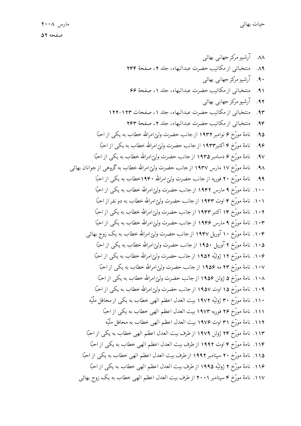۸۸. آرشیو مرکز جهانبی بهائبی منتخباتي از مكاتيب حضرت عبدالبهاء، جلد ٢، صفحة ٢٤٣  $\Lambda$ ٩ ۹۰. آرشیو مرکز جهانبی بهائبی منتخباتي از مكاتيب حضرت عبدالبهاء، جلد ١، صفحة 68  $.91$ ۹۲. آرشیو مرکز جهانبی بهائبی منتخباتي از مكاتيب حضرت عبدالبهاء، جلد ٠١ صفحات ١٢٣-١٢٢  $.94$ منتخباتي از مكاتب حضرت عبدالبهاء، جلد ٢، صفحة ٢٣٣  $.99$ نامهٔ مورّخ ۶ نوامبر ۱۹۳۲ از جانب حضرت ولیّ امرالله خطاب به یکی از احبّا  $.90$ نامهٔ مورّخ ۴ اکتبر۱۹۳۳ از جانب حضرت ولیّ امرالله خطاب به یکی از احبّا  $.99$ نامهٔ مورّخ ۶ دسامبر ۱۹۳۵ از جانب حضرت وليّ امرالله خطاب به يكي از احبّا  $.9V$ نامهٔ مورّخ ۱۷ مارس ۱۹۳۷ از جانب حضرت ولیّ امرالله خطاب به گروهی از جوانان بهائی  $.9<sub>A</sub>$ نامهٔ مورّخ ۲۰ فوریه از جانب حضرت ولیّ امرالله ۱۹۴۰خطاب به یکی از احبّا  $.99$ ۱۰۰. نامهٔ مورّخ ۹ مارس ۱۹۴۲ از جانب حضرت ولیّ امرالله خطاب به یکی از احبّا ۰۱۱. نامهٔ مورّخ ۴ اوت ۱۹۴۳ از جانب حضرت ولیّ امرالله خطاب به دو نفر از احبّا ۰۱۰۲. نامهٔ مورّخ ۱۴ اکتبر ۱۹۴۳ از جانب حضرت ولیّ امرالله خطاب به یکی از احبّا ۱۰۳. نامهٔ مورِّخ ۹ مارس ۱۹۴۶ از جانب حضرت ولیِّ امرالله خطاب به یکی از احبّا ۱۰۴. نامهٔ مورّخ ۱۰ آوریل ۱۹۴۷ از جانب حضرت ولیّ امرالله خطاب به یک زوج بهائی ۰۱۵. نامهٔ مورّخ ۲ آوریل ۱۹۵۰ از جانب حضرت ولیّ امرالله خطاب به یکی از احبّا ۱۰۶. نامهٔ مورّخ ۱۲ ژوئیّه ۱۹۵۲ از جانب حضرت ولیّ امرالله خطاب به یکی از احبّا ۱۰۷. نامهٔ مورّخ ۲۳ مه ۱۹۵۶ از جانب حضرت ولیّ امرالله خطاب به یکی از احبّا ۱۰۸. نامهٔ مورّخ ۵ ژوئن ۱۹۵۶ از جانب حضرت ولیّ امرالله خطاب به یکی از احبّا ۰۱۹. نامهٔ مورّخ ۱۵ اوت ۱۹۵۷ از جانب حضرت ولیّ امرالله خطاب به یکی از احبّا ۱۱۰. نامهٔ مورّخ ۳۰ ژوئیّه ۱۹۷۲ بیت العدل اعظم الهی خطاب به یکی از محافل ملّیّه ١١١. نامة مورّخ ٢۶ فوريه ١٩٧٣ بيت العدل اعظم الهي خطاب به يكي از احبّا ١١٢. نامة مورّخ ٣١ اوت ١٩٧۶ بيت العدل اعظم الهي خطاب به محافل ملّيّه ١١٣. نامة مورّخ ٢۴ ژوئن ١٩٧٩ از طرف بيت العدل اعظم الهي خطاب به يكي از احبّا ۱۱۴. نامهٔ مورّخ ۴ اوت ۱۹۹۲ از طرف بیت العدل اعظم الهی خطاب به یکی از احبّا ۱۱۵. نامهٔ مورّخ ۲۰ سپتامبر ۱۹۹۲ از طرف بیت العدل اعظم الهی خطاب به یکی از احبّا ۱۱۶. نامهٔ مورّخ ۲ ژوئیّه ۱۹۹۵ از طرف بیت العدل اعظم الهی خطاب به یکی از احبّا ۱۱۷. نامهٔ مورّخ ۴ سپتامبر ۲۰۰۱ از طرف بیت العدل اعظم الهی خطاب به یک زوج بهائی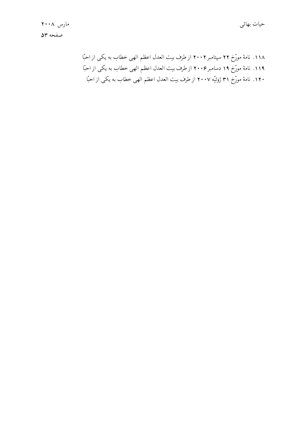۱۱۸. نامهٔ مورِّخ ۲۲ سپتامبر ۲۰۰۲ از طرف بیت العدل اعظم الهی خطاب به یکی از احبّا ۱۱۹. نامهٔ مورِّخ ۱۹ دسامبر ۲۰۰۶ از طرف بیت العدل اعظم الهی خطاب به یکی از احبّا ۱۲۰. نامهٔ مورّخ ۳۱ ژوئیّه ۲۰۰۷ از طرف بیت العدل اعظم الهی خطاب به یکی از احبّا